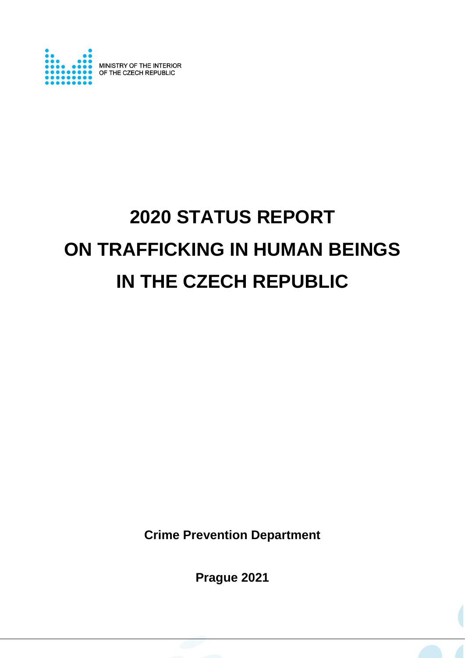

# **2020 STATUS REPORT ON TRAFFICKING IN HUMAN BEINGS IN THE CZECH REPUBLIC**

**Crime Prevention Department** 

**Prague 2021**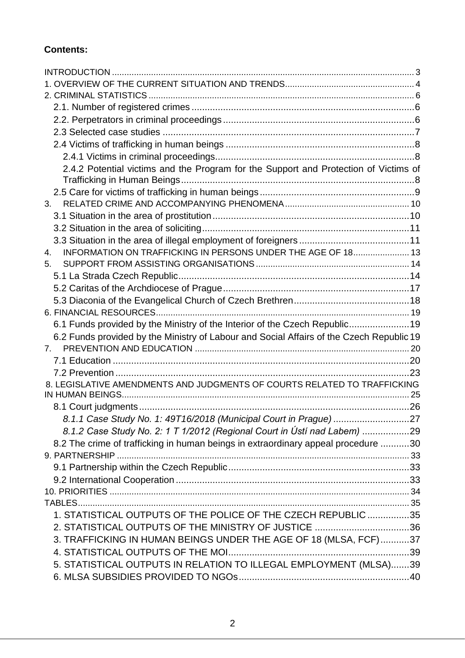## **Contents:**

| 2.4.2 Potential victims and the Program for the Support and Protection of Victims of     |  |
|------------------------------------------------------------------------------------------|--|
|                                                                                          |  |
|                                                                                          |  |
| 3.                                                                                       |  |
|                                                                                          |  |
|                                                                                          |  |
|                                                                                          |  |
| INFORMATION ON TRAFFICKING IN PERSONS UNDER THE AGE OF 18 13<br>$4_{\cdot}$              |  |
| 5 <sub>1</sub>                                                                           |  |
|                                                                                          |  |
|                                                                                          |  |
|                                                                                          |  |
| 6.1 Funds provided by the Ministry of the Interior of the Czech Republic19               |  |
| 6.2 Funds provided by the Ministry of Labour and Social Affairs of the Czech Republic 19 |  |
| 7.                                                                                       |  |
|                                                                                          |  |
|                                                                                          |  |
| 8. LEGISLATIVE AMENDMENTS AND JUDGMENTS OF COURTS RELATED TO TRAFFICKING                 |  |
|                                                                                          |  |
|                                                                                          |  |
|                                                                                          |  |
| 8.1.2 Case Study No. 2: 1 T 1/2012 (Regional Court in Ústí nad Labem) 29                 |  |
| 8.2 The crime of trafficking in human beings in extraordinary appeal procedure 30        |  |
|                                                                                          |  |
|                                                                                          |  |
|                                                                                          |  |
|                                                                                          |  |
|                                                                                          |  |
| 1. STATISTICAL OUTPUTS OF THE POLICE OF THE CZECH REPUBLIC 35                            |  |
| 2. STATISTICAL OUTPUTS OF THE MINISTRY OF JUSTICE 36                                     |  |
| 3. TRAFFICKING IN HUMAN BEINGS UNDER THE AGE OF 18 (MLSA, FCF)37                         |  |
|                                                                                          |  |
| 5. STATISTICAL OUTPUTS IN RELATION TO ILLEGAL EMPLOYMENT (MLSA)39                        |  |
|                                                                                          |  |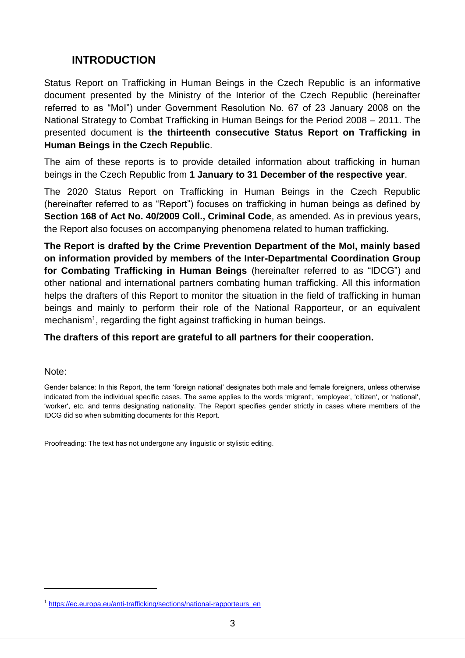## <span id="page-2-0"></span>**INTRODUCTION**

Status Report on Trafficking in Human Beings in the Czech Republic is an informative document presented by the Ministry of the Interior of the Czech Republic (hereinafter referred to as "MoI") under Government Resolution No. 67 of 23 January 2008 on the National Strategy to Combat Trafficking in Human Beings for the Period 2008 – 2011. The presented document is **the thirteenth consecutive Status Report on Trafficking in Human Beings in the Czech Republic**.

The aim of these reports is to provide detailed information about trafficking in human beings in the Czech Republic from **1 January to 31 December of the respective year**.

The 2020 Status Report on Trafficking in Human Beings in the Czech Republic (hereinafter referred to as "Report") focuses on trafficking in human beings as defined by **Section 168 of Act No. 40/2009 Coll., Criminal Code**, as amended. As in previous years, the Report also focuses on accompanying phenomena related to human trafficking.

**The Report is drafted by the Crime Prevention Department of the MoI, mainly based on information provided by members of the Inter-Departmental Coordination Group for Combating Trafficking in Human Beings** (hereinafter referred to as "IDCG") and other national and international partners combating human trafficking. All this information helps the drafters of this Report to monitor the situation in the field of trafficking in human beings and mainly to perform their role of the National Rapporteur, or an equivalent mechanism<sup>1</sup>, regarding the fight against trafficking in human beings.

#### **The drafters of this report are grateful to all partners for their cooperation.**

#### Note:

1

Gender balance: In this Report, the term 'foreign national' designates both male and female foreigners, unless otherwise indicated from the individual specific cases. The same applies to the words 'migrant', 'employee', 'citizen', or 'national', 'worker', etc. and terms designating nationality. The Report specifies gender strictly in cases where members of the IDCG did so when submitting documents for this Report.

Proofreading: The text has not undergone any linguistic or stylistic editing.

<sup>&</sup>lt;sup>1</sup> [https://ec.europa.eu/anti-trafficking/sections/national-rapporteurs\\_en](https://ec.europa.eu/anti-trafficking/sections/national-rapporteurs_en)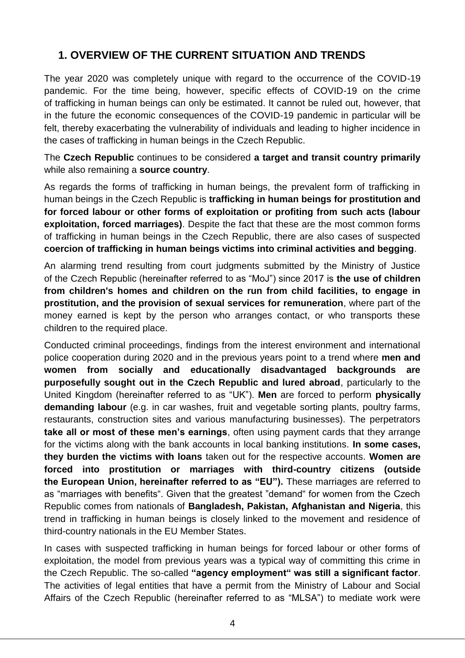## <span id="page-3-0"></span>**1. OVERVIEW OF THE CURRENT SITUATION AND TRENDS**

The year 2020 was completely unique with regard to the occurrence of the COVID-19 pandemic. For the time being, however, specific effects of COVID-19 on the crime of trafficking in human beings can only be estimated. It cannot be ruled out, however, that in the future the economic consequences of the COVID-19 pandemic in particular will be felt, thereby exacerbating the vulnerability of individuals and leading to higher incidence in the cases of trafficking in human beings in the Czech Republic.

The **Czech Republic** continues to be considered **a target and transit country primarily**  while also remaining a **source country**.

As regards the forms of trafficking in human beings, the prevalent form of trafficking in human beings in the Czech Republic is **trafficking in human beings for prostitution and for forced labour or other forms of exploitation or profiting from such acts (labour exploitation, forced marriages)**. Despite the fact that these are the most common forms of trafficking in human beings in the Czech Republic, there are also cases of suspected **coercion of trafficking in human beings victims into criminal activities and begging**.

An alarming trend resulting from court judgments submitted by the Ministry of Justice of the Czech Republic (hereinafter referred to as "MoJ") since 2017 is **the use of children from children's homes and children on the run from child facilities, to engage in prostitution, and the provision of sexual services for remuneration**, where part of the money earned is kept by the person who arranges contact, or who transports these children to the required place.

Conducted criminal proceedings, findings from the interest environment and international police cooperation during 2020 and in the previous years point to a trend where **men and women from socially and educationally disadvantaged backgrounds are purposefully sought out in the Czech Republic and lured abroad**, particularly to the United Kingdom (hereinafter referred to as "UK"). **Men** are forced to perform **physically demanding labour** (e.g. in car washes, fruit and vegetable sorting plants, poultry farms, restaurants, construction sites and various manufacturing businesses). The perpetrators **take all or most of these men's earnings**, often using payment cards that they arrange for the victims along with the bank accounts in local banking institutions. **In some cases, they burden the victims with loans** taken out for the respective accounts. **Women are forced into prostitution or marriages with third-country citizens (outside the European Union, hereinafter referred to as "EU").** These marriages are referred to as "marriages with benefits". Given that the greatest "demand" for women from the Czech Republic comes from nationals of **Bangladesh, Pakistan, Afghanistan and Nigeria**, this trend in trafficking in human beings is closely linked to the movement and residence of third-country nationals in the EU Member States.

In cases with suspected trafficking in human beings for forced labour or other forms of exploitation, the model from previous years was a typical way of committing this crime in the Czech Republic. The so-called **"agency employment" was still a significant factor**. The activities of legal entities that have a permit from the Ministry of Labour and Social Affairs of the Czech Republic (hereinafter referred to as "MLSA") to mediate work were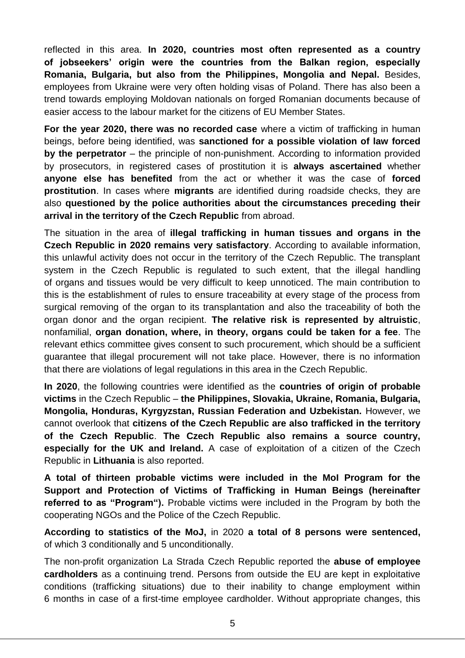reflected in this area. **In 2020, countries most often represented as a country of jobseekers' origin were the countries from the Balkan region, especially Romania, Bulgaria, but also from the Philippines, Mongolia and Nepal.** Besides, employees from Ukraine were very often holding visas of Poland. There has also been a trend towards employing Moldovan nationals on forged Romanian documents because of easier access to the labour market for the citizens of EU Member States.

**For the year 2020, there was no recorded case** where a victim of trafficking in human beings, before being identified, was **sanctioned for a possible violation of law forced by the perpetrator** – the principle of non-punishment. According to information provided by prosecutors, in registered cases of prostitution it is **always ascertained** whether **anyone else has benefited** from the act or whether it was the case of **forced prostitution**. In cases where **migrants** are identified during roadside checks, they are also **questioned by the police authorities about the circumstances preceding their arrival in the territory of the Czech Republic** from abroad.

The situation in the area of **illegal trafficking in human tissues and organs in the Czech Republic in 2020 remains very satisfactory**. According to available information, this unlawful activity does not occur in the territory of the Czech Republic. The transplant system in the Czech Republic is regulated to such extent, that the illegal handling of organs and tissues would be very difficult to keep unnoticed. The main contribution to this is the establishment of rules to ensure traceability at every stage of the process from surgical removing of the organ to its transplantation and also the traceability of both the organ donor and the organ recipient. **The relative risk is represented by altruistic**, nonfamilial, **organ donation, where, in theory, organs could be taken for a fee**. The relevant ethics committee gives consent to such procurement, which should be a sufficient guarantee that illegal procurement will not take place. However, there is no information that there are violations of legal regulations in this area in the Czech Republic.

**In 2020**, the following countries were identified as the **countries of origin of probable victims** in the Czech Republic – **the Philippines, Slovakia, Ukraine, Romania, Bulgaria, Mongolia, Honduras, Kyrgyzstan, Russian Federation and Uzbekistan.** However, we cannot overlook that **citizens of the Czech Republic are also trafficked in the territory of the Czech Republic**. **The Czech Republic also remains a source country, especially for the UK and Ireland.** A case of exploitation of a citizen of the Czech Republic in **Lithuania** is also reported.

**A total of thirteen probable victims were included in the MoI Program for the Support and Protection of Victims of Trafficking in Human Beings (hereinafter referred to as "Program").** Probable victims were included in the Program by both the cooperating NGOs and the Police of the Czech Republic.

**According to statistics of the MoJ,** in 2020 **a total of 8 persons were sentenced,** of which 3 conditionally and 5 unconditionally.

The non-profit organization La Strada Czech Republic reported the **abuse of employee cardholders** as a continuing trend. Persons from outside the EU are kept in exploitative conditions (trafficking situations) due to their inability to change employment within 6 months in case of a first-time employee cardholder. Without appropriate changes, this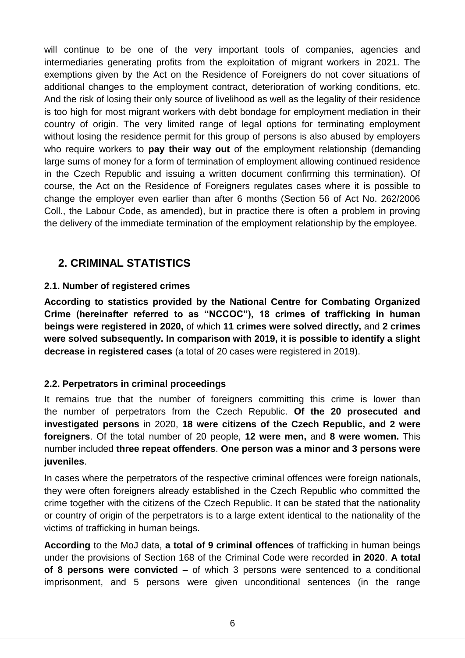will continue to be one of the very important tools of companies, agencies and intermediaries generating profits from the exploitation of migrant workers in 2021. The exemptions given by the Act on the Residence of Foreigners do not cover situations of additional changes to the employment contract, deterioration of working conditions, etc. And the risk of losing their only source of livelihood as well as the legality of their residence is too high for most migrant workers with debt bondage for employment mediation in their country of origin. The very limited range of legal options for terminating employment without losing the residence permit for this group of persons is also abused by employers who require workers to **pay their way out** of the employment relationship (demanding large sums of money for a form of termination of employment allowing continued residence in the Czech Republic and issuing a written document confirming this termination). Of course, the Act on the Residence of Foreigners regulates cases where it is possible to change the employer even earlier than after 6 months (Section 56 of Act No. 262/2006 Coll., the Labour Code, as amended), but in practice there is often a problem in proving the delivery of the immediate termination of the employment relationship by the employee.

## <span id="page-5-0"></span>**2. CRIMINAL STATISTICS**

## <span id="page-5-1"></span>**2.1. Number of registered crimes**

**According to statistics provided by the National Centre for Combating Organized Crime (hereinafter referred to as "NCCOC"), 18 crimes of trafficking in human beings were registered in 2020,** of which **11 crimes were solved directly,** and **2 crimes were solved subsequently. In comparison with 2019, it is possible to identify a slight decrease in registered cases** (a total of 20 cases were registered in 2019).

## <span id="page-5-2"></span>**2.2. Perpetrators in criminal proceedings**

It remains true that the number of foreigners committing this crime is lower than the number of perpetrators from the Czech Republic. **Of the 20 prosecuted and investigated persons** in 2020, **18 were citizens of the Czech Republic, and 2 were foreigners**. Of the total number of 20 people, **12 were men,** and **8 were women.** This number included **three repeat offenders**. **One person was a minor and 3 persons were juveniles**.

In cases where the perpetrators of the respective criminal offences were foreign nationals, they were often foreigners already established in the Czech Republic who committed the crime together with the citizens of the Czech Republic. It can be stated that the nationality or country of origin of the perpetrators is to a large extent identical to the nationality of the victims of trafficking in human beings.

**According** to the MoJ data, **a total of 9 criminal offences** of trafficking in human beings under the provisions of Section 168 of the Criminal Code were recorded **in 2020**. **A total of 8 persons were convicted** – of which 3 persons were sentenced to a conditional imprisonment, and 5 persons were given unconditional sentences (in the range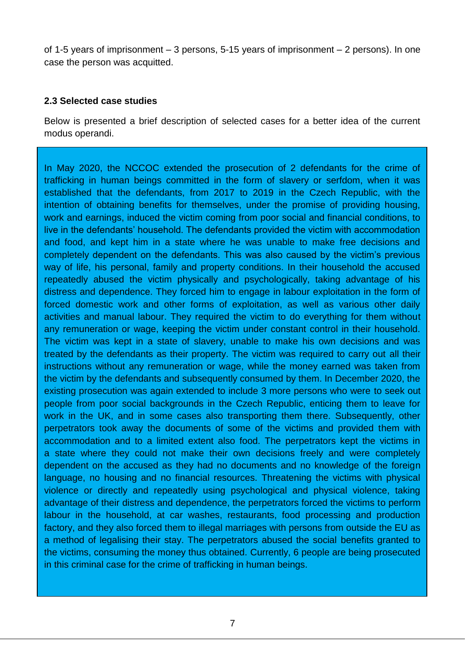of 1-5 years of imprisonment – 3 persons, 5-15 years of imprisonment – 2 persons). In one case the person was acquitted.

#### <span id="page-6-0"></span>**2.3 Selected case studies**

Below is presented a brief description of selected cases for a better idea of the current modus operandi.

In May 2020, the NCCOC extended the prosecution of 2 defendants for the crime of trafficking in human beings committed in the form of slavery or serfdom, when it was established that the defendants, from 2017 to 2019 in the Czech Republic, with the intention of obtaining benefits for themselves, under the promise of providing housing, work and earnings, induced the victim coming from poor social and financial conditions, to live in the defendants' household. The defendants provided the victim with accommodation and food, and kept him in a state where he was unable to make free decisions and completely dependent on the defendants. This was also caused by the victim's previous way of life, his personal, family and property conditions. In their household the accused repeatedly abused the victim physically and psychologically, taking advantage of his distress and dependence. They forced him to engage in labour exploitation in the form of forced domestic work and other forms of exploitation, as well as various other daily activities and manual labour. They required the victim to do everything for them without any remuneration or wage, keeping the victim under constant control in their household. The victim was kept in a state of slavery, unable to make his own decisions and was treated by the defendants as their property. The victim was required to carry out all their instructions without any remuneration or wage, while the money earned was taken from the victim by the defendants and subsequently consumed by them. In December 2020, the existing prosecution was again extended to include 3 more persons who were to seek out people from poor social backgrounds in the Czech Republic, enticing them to leave for work in the UK, and in some cases also transporting them there. Subsequently, other perpetrators took away the documents of some of the victims and provided them with accommodation and to a limited extent also food. The perpetrators kept the victims in a state where they could not make their own decisions freely and were completely dependent on the accused as they had no documents and no knowledge of the foreign language, no housing and no financial resources. Threatening the victims with physical violence or directly and repeatedly using psychological and physical violence, taking advantage of their distress and dependence, the perpetrators forced the victims to perform labour in the household, at car washes, restaurants, food processing and production factory, and they also forced them to illegal marriages with persons from outside the EU as a method of legalising their stay. The perpetrators abused the social benefits granted to the victims, consuming the money thus obtained. Currently, 6 people are being prosecuted in this criminal case for the crime of trafficking in human beings.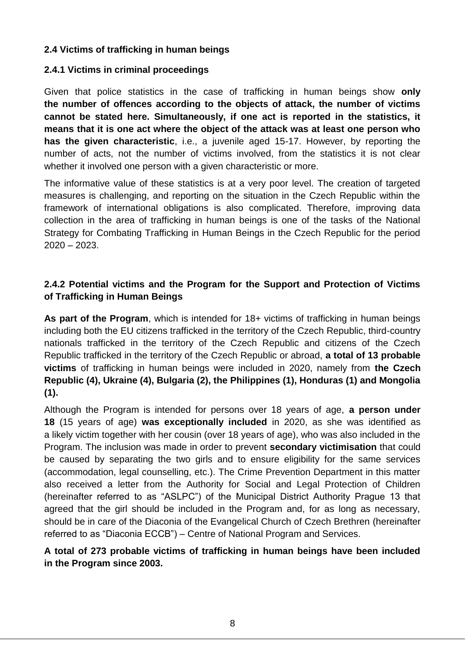### <span id="page-7-0"></span>**2.4 Victims of trafficking in human beings**

#### <span id="page-7-1"></span>**2.4.1 Victims in criminal proceedings**

Given that police statistics in the case of trafficking in human beings show **only the number of offences according to the objects of attack, the number of victims cannot be stated here. Simultaneously, if one act is reported in the statistics, it means that it is one act where the object of the attack was at least one person who has the given characteristic**, i.e., a juvenile aged 15-17. However, by reporting the number of acts, not the number of victims involved, from the statistics it is not clear whether it involved one person with a given characteristic or more.

The informative value of these statistics is at a very poor level. The creation of targeted measures is challenging, and reporting on the situation in the Czech Republic within the framework of international obligations is also complicated. Therefore, improving data collection in the area of trafficking in human beings is one of the tasks of the National Strategy for Combating Trafficking in Human Beings in the Czech Republic for the period 2020 – 2023.

## <span id="page-7-2"></span>**2.4.2 Potential victims and the Program for the Support and Protection of Victims of Trafficking in Human Beings**

**As part of the Program**, which is intended for 18+ victims of trafficking in human beings including both the EU citizens trafficked in the territory of the Czech Republic, third-country nationals trafficked in the territory of the Czech Republic and citizens of the Czech Republic trafficked in the territory of the Czech Republic or abroad, **a total of 13 probable victims** of trafficking in human beings were included in 2020, namely from **the Czech Republic (4), Ukraine (4), Bulgaria (2), the Philippines (1), Honduras (1) and Mongolia (1).**

Although the Program is intended for persons over 18 years of age, **a person under 18** (15 years of age) **was exceptionally included** in 2020, as she was identified as a likely victim together with her cousin (over 18 years of age), who was also included in the Program. The inclusion was made in order to prevent **secondary victimisation** that could be caused by separating the two girls and to ensure eligibility for the same services (accommodation, legal counselling, etc.). The Crime Prevention Department in this matter also received a letter from the Authority for Social and Legal Protection of Children (hereinafter referred to as "ASLPC") of the Municipal District Authority Prague 13 that agreed that the girl should be included in the Program and, for as long as necessary, should be in care of the Diaconia of the Evangelical Church of Czech Brethren (hereinafter referred to as "Diaconia ECCB") – Centre of National Program and Services.

### **A total of 273 probable victims of trafficking in human beings have been included in the Program since 2003.**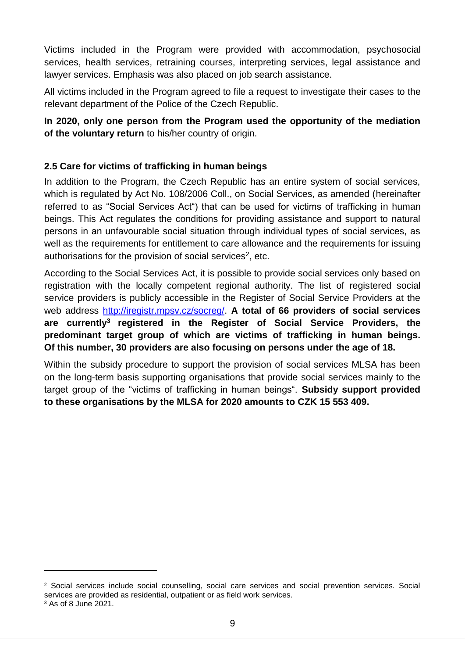Victims included in the Program were provided with accommodation, psychosocial services, health services, retraining courses, interpreting services, legal assistance and lawyer services. Emphasis was also placed on job search assistance.

All victims included in the Program agreed to file a request to investigate their cases to the relevant department of the Police of the Czech Republic.

## **In 2020, only one person from the Program used the opportunity of the mediation of the voluntary return** to his/her country of origin.

## <span id="page-8-0"></span>**2.5 Care for victims of trafficking in human beings**

In addition to the Program, the Czech Republic has an entire system of social services, which is regulated by Act No. 108/2006 Coll., on Social Services, as amended (hereinafter referred to as "Social Services Act") that can be used for victims of trafficking in human beings. This Act regulates the conditions for providing assistance and support to natural persons in an unfavourable social situation through individual types of social services, as well as the requirements for entitlement to care allowance and the requirements for issuing authorisations for the provision of social services<sup>2</sup>, etc.

According to the Social Services Act, it is possible to provide social services only based on registration with the locally competent regional authority. The list of registered social service providers is publicly accessible in the Register of Social Service Providers at the web address http://iregistr.mpsv.cz/socreg/. **A total of 66 providers of social services are currently<sup>3</sup> registered in the Register of Social Service Providers, the predominant target group of which are victims of trafficking in human beings. Of this number, 30 providers are also focusing on persons under the age of 18.**

Within the subsidy procedure to support the provision of social services MLSA has been on the long-term basis supporting organisations that provide social services mainly to the target group of the "victims of trafficking in human beings". **Subsidy support provided to these organisations by the MLSA for 2020 amounts to CZK 15 553 409.**

1

<sup>2</sup> Social services include social counselling, social care services and social prevention services. Social services are provided as residential, outpatient or as field work services. <sup>3</sup> As of 8 June 2021.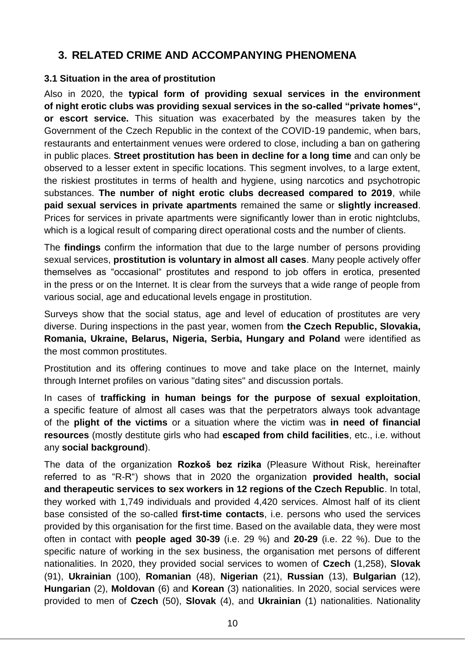## <span id="page-9-0"></span>**3. RELATED CRIME AND ACCOMPANYING PHENOMENA**

#### <span id="page-9-1"></span>**3.1 Situation in the area of prostitution**

Also in 2020, the **typical form of providing sexual services in the environment of night erotic clubs was providing sexual services in the so-called "private homes", or escort service.** This situation was exacerbated by the measures taken by the Government of the Czech Republic in the context of the COVID-19 pandemic, when bars, restaurants and entertainment venues were ordered to close, including a ban on gathering in public places. **Street prostitution has been in decline for a long time** and can only be observed to a lesser extent in specific locations. This segment involves, to a large extent, the riskiest prostitutes in terms of health and hygiene, using narcotics and psychotropic substances. **The number of night erotic clubs decreased compared to 2019**, while **paid sexual services in private apartments** remained the same or **slightly increased**. Prices for services in private apartments were significantly lower than in erotic nightclubs, which is a logical result of comparing direct operational costs and the number of clients.

The **findings** confirm the information that due to the large number of persons providing sexual services, **prostitution is voluntary in almost all cases**. Many people actively offer themselves as "occasional" prostitutes and respond to job offers in erotica, presented in the press or on the Internet. It is clear from the surveys that a wide range of people from various social, age and educational levels engage in prostitution.

Surveys show that the social status, age and level of education of prostitutes are very diverse. During inspections in the past year, women from **the Czech Republic, Slovakia, Romania, Ukraine, Belarus, Nigeria, Serbia, Hungary and Poland** were identified as the most common prostitutes.

Prostitution and its offering continues to move and take place on the Internet, mainly through Internet profiles on various "dating sites" and discussion portals.

In cases of **trafficking in human beings for the purpose of sexual exploitation**, a specific feature of almost all cases was that the perpetrators always took advantage of the **plight of the victims** or a situation where the victim was **in need of financial resources** (mostly destitute girls who had **escaped from child facilities**, etc., i.e. without any **social background**).

The data of the organization **Rozkoš bez rizika** (Pleasure Without Risk, hereinafter referred to as "R-R") shows that in 2020 the organization **provided health, social and therapeutic services to sex workers in 12 regions of the Czech Republic**. In total, they worked with 1,749 individuals and provided 4,420 services. Almost half of its client base consisted of the so-called **first-time contacts**, i.e. persons who used the services provided by this organisation for the first time. Based on the available data, they were most often in contact with **people aged 30-39** (i.e. 29 %) and **20-29** (i.e. 22 %). Due to the specific nature of working in the sex business, the organisation met persons of different nationalities. In 2020, they provided social services to women of **Czech** (1,258), **Slovak** (91), **Ukrainian** (100), **Romanian** (48), **Nigerian** (21), **Russian** (13), **Bulgarian** (12), **Hungarian** (2), **Moldovan** (6) and **Korean** (3) nationalities. In 2020, social services were provided to men of **Czech** (50), **Slovak** (4), and **Ukrainian** (1) nationalities. Nationality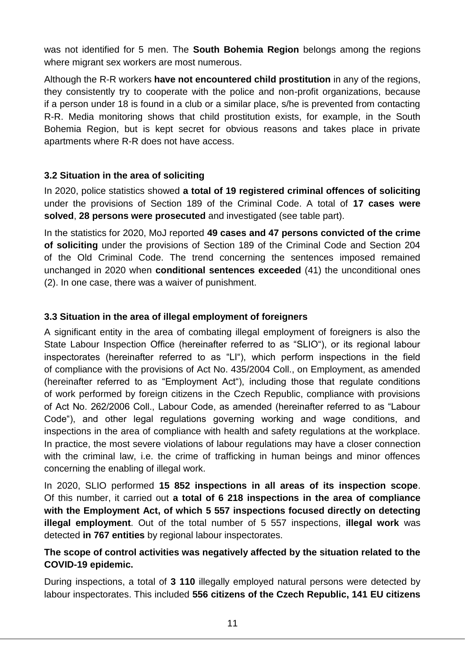was not identified for 5 men. The **South Bohemia Region** belongs among the regions where migrant sex workers are most numerous.

Although the R-R workers **have not encountered child prostitution** in any of the regions, they consistently try to cooperate with the police and non-profit organizations, because if a person under 18 is found in a club or a similar place, s/he is prevented from contacting R-R. Media monitoring shows that child prostitution exists, for example, in the South Bohemia Region, but is kept secret for obvious reasons and takes place in private apartments where R-R does not have access.

### <span id="page-10-0"></span>**3.2 Situation in the area of soliciting**

In 2020, police statistics showed **a total of 19 registered criminal offences of soliciting**  under the provisions of Section 189 of the Criminal Code. A total of **17 cases were solved**, **28 persons were prosecuted** and investigated (see table part).

In the statistics for 2020, MoJ reported **49 cases and 47 persons convicted of the crime of soliciting** under the provisions of Section 189 of the Criminal Code and Section 204 of the Old Criminal Code. The trend concerning the sentences imposed remained unchanged in 2020 when **conditional sentences exceeded** (41) the unconditional ones (2). In one case, there was a waiver of punishment.

## <span id="page-10-1"></span>**3.3 Situation in the area of illegal employment of foreigners**

A significant entity in the area of combating illegal employment of foreigners is also the State Labour Inspection Office (hereinafter referred to as "SLIO"), or its regional labour inspectorates (hereinafter referred to as "LI"), which perform inspections in the field of compliance with the provisions of Act No. 435/2004 Coll., on Employment, as amended (hereinafter referred to as "Employment Act"), including those that regulate conditions of work performed by foreign citizens in the Czech Republic, compliance with provisions of Act No. 262/2006 Coll., Labour Code, as amended (hereinafter referred to as "Labour Code"), and other legal regulations governing working and wage conditions, and inspections in the area of compliance with health and safety regulations at the workplace. In practice, the most severe violations of labour regulations may have a closer connection with the criminal law, i.e. the crime of trafficking in human beings and minor offences concerning the enabling of illegal work.

In 2020, SLIO performed **15 852 inspections in all areas of its inspection scope**. Of this number, it carried out **a total of 6 218 inspections in the area of compliance with the Employment Act, of which 5 557 inspections focused directly on detecting illegal employment**. Out of the total number of 5 557 inspections, **illegal work** was detected **in 767 entities** by regional labour inspectorates.

### **The scope of control activities was negatively affected by the situation related to the COVID-19 epidemic.**

During inspections, a total of **3 110** illegally employed natural persons were detected by labour inspectorates. This included **556 citizens of the Czech Republic, 141 EU citizens**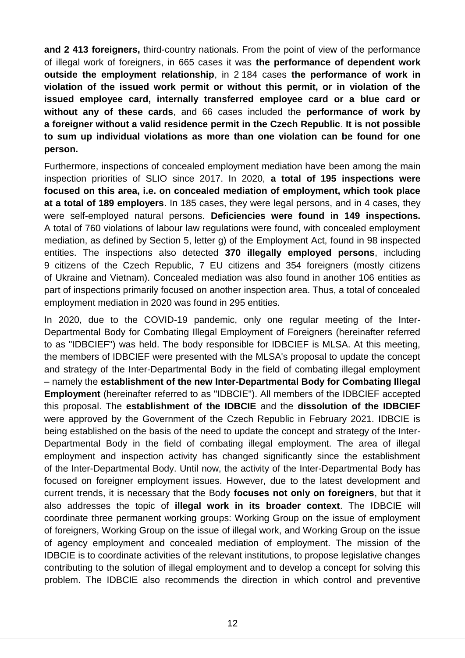**and 2 413 foreigners,** third-country nationals. From the point of view of the performance of illegal work of foreigners, in 665 cases it was **the performance of dependent work outside the employment relationship**, in 2 184 cases **the performance of work in violation of the issued work permit or without this permit, or in violation of the issued employee card, internally transferred employee card or a blue card or without any of these cards**, and 66 cases included the **performance of work by a foreigner without a valid residence permit in the Czech Republic**. **It is not possible to sum up individual violations as more than one violation can be found for one person.**

Furthermore, inspections of concealed employment mediation have been among the main inspection priorities of SLIO since 2017. In 2020, **a total of 195 inspections were focused on this area, i.e. on concealed mediation of employment, which took place at a total of 189 employers**. In 185 cases, they were legal persons, and in 4 cases, they were self-employed natural persons. **Deficiencies were found in 149 inspections.** A total of 760 violations of labour law regulations were found, with concealed employment mediation, as defined by Section 5, letter g) of the Employment Act, found in 98 inspected entities. The inspections also detected **370 illegally employed persons**, including 9 citizens of the Czech Republic, 7 EU citizens and 354 foreigners (mostly citizens of Ukraine and Vietnam). Concealed mediation was also found in another 106 entities as part of inspections primarily focused on another inspection area. Thus, a total of concealed employment mediation in 2020 was found in 295 entities.

In 2020, due to the COVID-19 pandemic, only one regular meeting of the Inter-Departmental Body for Combating Illegal Employment of Foreigners (hereinafter referred to as "IDBCIEF") was held. The body responsible for IDBCIEF is MLSA. At this meeting, the members of IDBCIEF were presented with the MLSA's proposal to update the concept and strategy of the Inter-Departmental Body in the field of combating illegal employment – namely the **establishment of the new Inter-Departmental Body for Combating Illegal Employment** (hereinafter referred to as "IDBCIE"). All members of the IDBCIEF accepted this proposal. The **establishment of the IDBCIE** and the **dissolution of the IDBCIEF** were approved by the Government of the Czech Republic in February 2021. IDBCIE is being established on the basis of the need to update the concept and strategy of the Inter-Departmental Body in the field of combating illegal employment. The area of illegal employment and inspection activity has changed significantly since the establishment of the Inter-Departmental Body. Until now, the activity of the Inter-Departmental Body has focused on foreigner employment issues. However, due to the latest development and current trends, it is necessary that the Body **focuses not only on foreigners**, but that it also addresses the topic of **illegal work in its broader context**. The IDBCIE will coordinate three permanent working groups: Working Group on the issue of employment of foreigners, Working Group on the issue of illegal work, and Working Group on the issue of agency employment and concealed mediation of employment. The mission of the IDBCIE is to coordinate activities of the relevant institutions, to propose legislative changes contributing to the solution of illegal employment and to develop a concept for solving this problem. The IDBCIE also recommends the direction in which control and preventive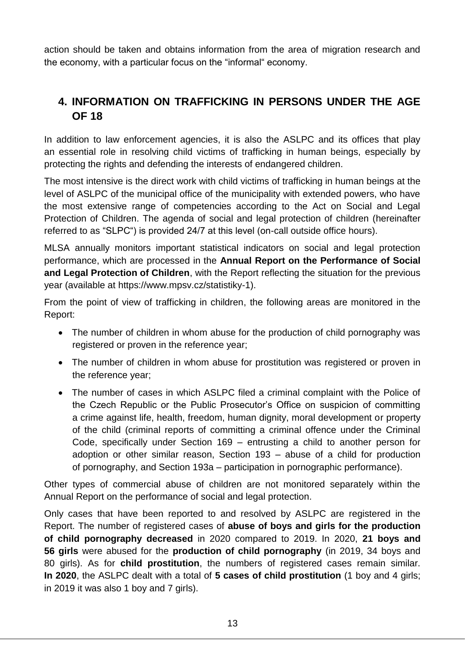action should be taken and obtains information from the area of migration research and the economy, with a particular focus on the "informal" economy.

## <span id="page-12-0"></span>**4. INFORMATION ON TRAFFICKING IN PERSONS UNDER THE AGE OF 18**

In addition to law enforcement agencies, it is also the ASLPC and its offices that play an essential role in resolving child victims of trafficking in human beings, especially by protecting the rights and defending the interests of endangered children.

The most intensive is the direct work with child victims of trafficking in human beings at the level of ASLPC of the municipal office of the municipality with extended powers, who have the most extensive range of competencies according to the Act on Social and Legal Protection of Children. The agenda of social and legal protection of children (hereinafter referred to as "SLPC") is provided 24/7 at this level (on-call outside office hours).

MLSA annually monitors important statistical indicators on social and legal protection performance, which are processed in the **Annual Report on the Performance of Social and Legal Protection of Children**, with the Report reflecting the situation for the previous year (available at https://www.mpsv.cz/statistiky-1).

From the point of view of trafficking in children, the following areas are monitored in the Report:

- The number of children in whom abuse for the production of child pornography was registered or proven in the reference year;
- The number of children in whom abuse for prostitution was registered or proven in the reference year;
- The number of cases in which ASLPC filed a criminal complaint with the Police of the Czech Republic or the Public Prosecutor's Office on suspicion of committing a crime against life, health, freedom, human dignity, moral development or property of the child (criminal reports of committing a criminal offence under the Criminal Code, specifically under Section 169 – entrusting a child to another person for adoption or other similar reason, Section 193 – abuse of a child for production of pornography, and Section 193a – participation in pornographic performance).

Other types of commercial abuse of children are not monitored separately within the Annual Report on the performance of social and legal protection.

Only cases that have been reported to and resolved by ASLPC are registered in the Report. The number of registered cases of **abuse of boys and girls for the production of child pornography decreased** in 2020 compared to 2019. In 2020, **21 boys and 56 girls** were abused for the **production of child pornography** (in 2019, 34 boys and 80 girls). As for **child prostitution**, the numbers of registered cases remain similar. **In 2020**, the ASLPC dealt with a total of **5 cases of child prostitution** (1 boy and 4 girls; in 2019 it was also 1 boy and 7 girls).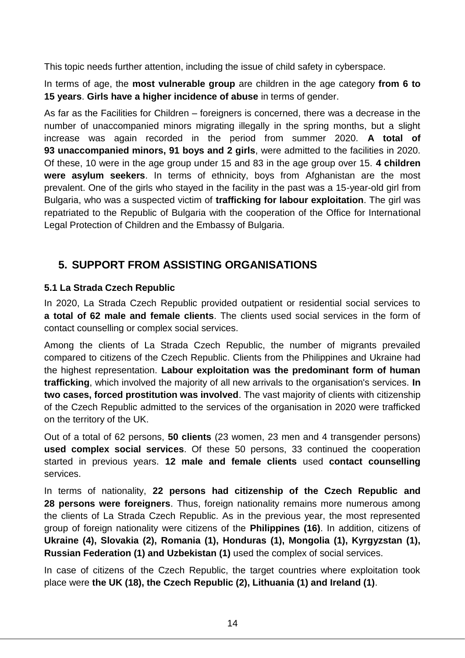This topic needs further attention, including the issue of child safety in cyberspace.

In terms of age, the **most vulnerable group** are children in the age category **from 6 to 15 years**. **Girls have a higher incidence of abuse** in terms of gender.

As far as the Facilities for Children – foreigners is concerned, there was a decrease in the number of unaccompanied minors migrating illegally in the spring months, but a slight increase was again recorded in the period from summer 2020. **A total of 93 unaccompanied minors, 91 boys and 2 girls**, were admitted to the facilities in 2020. Of these, 10 were in the age group under 15 and 83 in the age group over 15. **4 children were asylum seekers**. In terms of ethnicity, boys from Afghanistan are the most prevalent. One of the girls who stayed in the facility in the past was a 15-year-old girl from Bulgaria, who was a suspected victim of **trafficking for labour exploitation**. The girl was repatriated to the Republic of Bulgaria with the cooperation of the Office for International Legal Protection of Children and the Embassy of Bulgaria.

## <span id="page-13-0"></span>**5. SUPPORT FROM ASSISTING ORGANISATIONS**

## <span id="page-13-1"></span>**5.1 La Strada Czech Republic**

In 2020, La Strada Czech Republic provided outpatient or residential social services to **a total of 62 male and female clients**. The clients used social services in the form of contact counselling or complex social services.

Among the clients of La Strada Czech Republic, the number of migrants prevailed compared to citizens of the Czech Republic. Clients from the Philippines and Ukraine had the highest representation. **Labour exploitation was the predominant form of human trafficking**, which involved the majority of all new arrivals to the organisation's services. **In two cases, forced prostitution was involved**. The vast majority of clients with citizenship of the Czech Republic admitted to the services of the organisation in 2020 were trafficked on the territory of the UK.

Out of a total of 62 persons, **50 clients** (23 women, 23 men and 4 transgender persons) **used complex social services**. Of these 50 persons, 33 continued the cooperation started in previous years. **12 male and female clients** used **contact counselling** services.

In terms of nationality, **22 persons had citizenship of the Czech Republic and 28 persons were foreigners**. Thus, foreign nationality remains more numerous among the clients of La Strada Czech Republic. As in the previous year, the most represented group of foreign nationality were citizens of the **Philippines (16)**. In addition, citizens of **Ukraine (4), Slovakia (2), Romania (1), Honduras (1), Mongolia (1), Kyrgyzstan (1), Russian Federation (1) and Uzbekistan (1)** used the complex of social services.

In case of citizens of the Czech Republic, the target countries where exploitation took place were **the UK (18), the Czech Republic (2), Lithuania (1) and Ireland (1)**.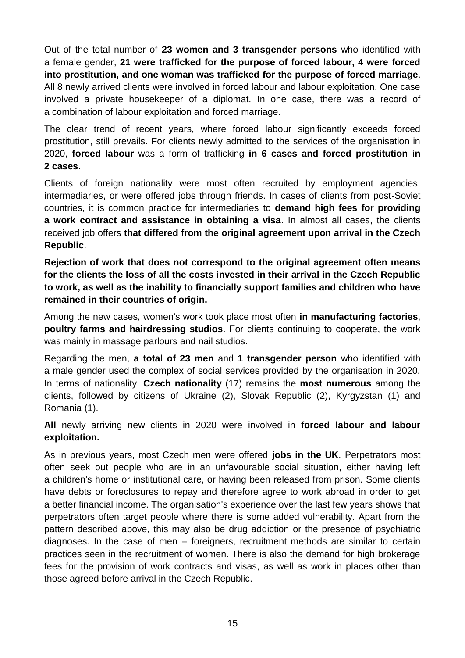Out of the total number of **23 women and 3 transgender persons** who identified with a female gender, **21 were trafficked for the purpose of forced labour, 4 were forced into prostitution, and one woman was trafficked for the purpose of forced marriage**. All 8 newly arrived clients were involved in forced labour and labour exploitation. One case involved a private housekeeper of a diplomat. In one case, there was a record of a combination of labour exploitation and forced marriage.

The clear trend of recent years, where forced labour significantly exceeds forced prostitution, still prevails. For clients newly admitted to the services of the organisation in 2020, **forced labour** was a form of trafficking **in 6 cases and forced prostitution in 2 cases**.

Clients of foreign nationality were most often recruited by employment agencies, intermediaries, or were offered jobs through friends. In cases of clients from post-Soviet countries, it is common practice for intermediaries to **demand high fees for providing a work contract and assistance in obtaining a visa**. In almost all cases, the clients received job offers **that differed from the original agreement upon arrival in the Czech Republic**.

**Rejection of work that does not correspond to the original agreement often means for the clients the loss of all the costs invested in their arrival in the Czech Republic to work, as well as the inability to financially support families and children who have remained in their countries of origin.**

Among the new cases, women's work took place most often **in manufacturing factories**, **poultry farms and hairdressing studios**. For clients continuing to cooperate, the work was mainly in massage parlours and nail studios.

Regarding the men, **a total of 23 men** and **1 transgender person** who identified with a male gender used the complex of social services provided by the organisation in 2020. In terms of nationality, **Czech nationality** (17) remains the **most numerous** among the clients, followed by citizens of Ukraine (2), Slovak Republic (2), Kyrgyzstan (1) and Romania (1).

**All** newly arriving new clients in 2020 were involved in **forced labour and labour exploitation.**

As in previous years, most Czech men were offered **jobs in the UK**. Perpetrators most often seek out people who are in an unfavourable social situation, either having left a children's home or institutional care, or having been released from prison. Some clients have debts or foreclosures to repay and therefore agree to work abroad in order to get a better financial income. The organisation's experience over the last few years shows that perpetrators often target people where there is some added vulnerability. Apart from the pattern described above, this may also be drug addiction or the presence of psychiatric diagnoses. In the case of men – foreigners, recruitment methods are similar to certain practices seen in the recruitment of women. There is also the demand for high brokerage fees for the provision of work contracts and visas, as well as work in places other than those agreed before arrival in the Czech Republic.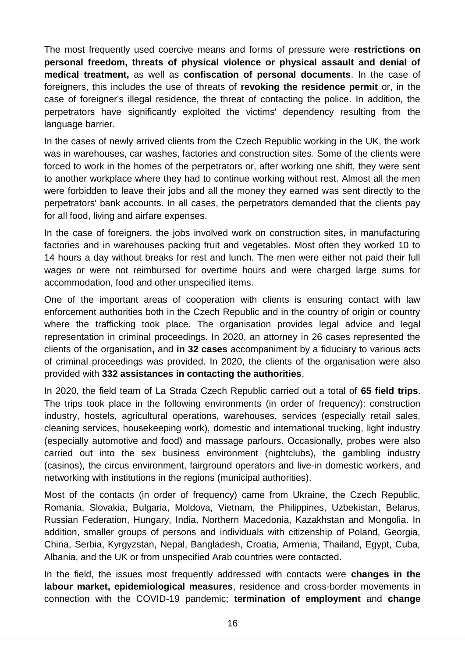The most frequently used coercive means and forms of pressure were **restrictions on personal freedom, threats of physical violence or physical assault and denial of medical treatment,** as well as **confiscation of personal documents**. In the case of foreigners, this includes the use of threats of **revoking the residence permit** or, in the case of foreigner's illegal residence, the threat of contacting the police. In addition, the perpetrators have significantly exploited the victims' dependency resulting from the language barrier.

In the cases of newly arrived clients from the Czech Republic working in the UK, the work was in warehouses, car washes, factories and construction sites. Some of the clients were forced to work in the homes of the perpetrators or, after working one shift, they were sent to another workplace where they had to continue working without rest. Almost all the men were forbidden to leave their jobs and all the money they earned was sent directly to the perpetrators' bank accounts. In all cases, the perpetrators demanded that the clients pay for all food, living and airfare expenses.

In the case of foreigners, the jobs involved work on construction sites, in manufacturing factories and in warehouses packing fruit and vegetables. Most often they worked 10 to 14 hours a day without breaks for rest and lunch. The men were either not paid their full wages or were not reimbursed for overtime hours and were charged large sums for accommodation, food and other unspecified items.

One of the important areas of cooperation with clients is ensuring contact with law enforcement authorities both in the Czech Republic and in the country of origin or country where the trafficking took place. The organisation provides legal advice and legal representation in criminal proceedings. In 2020, an attorney in 26 cases represented the clients of the organisation**,** and **in 32 cases** accompaniment by a fiduciary to various acts of criminal proceedings was provided. In 2020, the clients of the organisation were also provided with **332 assistances in contacting the authorities**.

In 2020, the field team of La Strada Czech Republic carried out a total of **65 field trips**. The trips took place in the following environments (in order of frequency): construction industry, hostels, agricultural operations, warehouses, services (especially retail sales, cleaning services, housekeeping work), domestic and international trucking, light industry (especially automotive and food) and massage parlours. Occasionally, probes were also carried out into the sex business environment (nightclubs), the gambling industry (casinos), the circus environment, fairground operators and live-in domestic workers, and networking with institutions in the regions (municipal authorities).

Most of the contacts (in order of frequency) came from Ukraine, the Czech Republic, Romania, Slovakia, Bulgaria, Moldova, Vietnam, the Philippines, Uzbekistan, Belarus, Russian Federation, Hungary, India, Northern Macedonia, Kazakhstan and Mongolia. In addition, smaller groups of persons and individuals with citizenship of Poland, Georgia, China, Serbia, Kyrgyzstan, Nepal, Bangladesh, Croatia, Armenia, Thailand, Egypt, Cuba, Albania, and the UK or from unspecified Arab countries were contacted.

In the field, the issues most frequently addressed with contacts were **changes in the labour market, epidemiological measures**, residence and cross-border movements in connection with the COVID-19 pandemic; **termination of employment** and **change**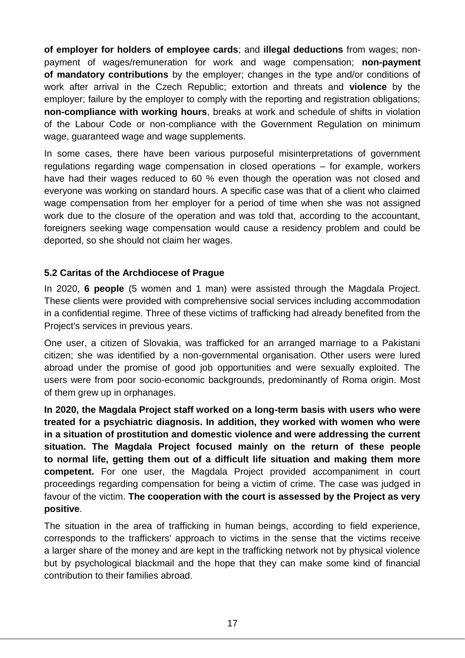**of employer for holders of employee cards**; and **illegal deductions** from wages; nonpayment of wages/remuneration for work and wage compensation; **non-payment of mandatory contributions** by the employer; changes in the type and/or conditions of work after arrival in the Czech Republic; extortion and threats and **violence** by the employer; failure by the employer to comply with the reporting and registration obligations; **non-compliance with working hours**, breaks at work and schedule of shifts in violation of the Labour Code or non-compliance with the Government Regulation on minimum wage, guaranteed wage and wage supplements.

In some cases, there have been various purposeful misinterpretations of government regulations regarding wage compensation in closed operations – for example, workers have had their wages reduced to 60 % even though the operation was not closed and everyone was working on standard hours. A specific case was that of a client who claimed wage compensation from her employer for a period of time when she was not assigned work due to the closure of the operation and was told that, according to the accountant, foreigners seeking wage compensation would cause a residency problem and could be deported, so she should not claim her wages.

## <span id="page-16-0"></span>**5.2 Caritas of the Archdiocese of Prague**

In 2020, **6 people** (5 women and 1 man) were assisted through the Magdala Project. These clients were provided with comprehensive social services including accommodation in a confidential regime. Three of these victims of trafficking had already benefited from the Project's services in previous years.

One user, a citizen of Slovakia, was trafficked for an arranged marriage to a Pakistani citizen; she was identified by a non-governmental organisation. Other users were lured abroad under the promise of good job opportunities and were sexually exploited. The users were from poor socio-economic backgrounds, predominantly of Roma origin. Most of them grew up in orphanages.

**In 2020, the Magdala Project staff worked on a long-term basis with users who were treated for a psychiatric diagnosis. In addition, they worked with women who were in a situation of prostitution and domestic violence and were addressing the current situation. The Magdala Project focused mainly on the return of these people to normal life, getting them out of a difficult life situation and making them more competent.** For one user, the Magdala Project provided accompaniment in court proceedings regarding compensation for being a victim of crime. The case was judged in favour of the victim. **The cooperation with the court is assessed by the Project as very positive**.

The situation in the area of trafficking in human beings, according to field experience, corresponds to the traffickers' approach to victims in the sense that the victims receive a larger share of the money and are kept in the trafficking network not by physical violence but by psychological blackmail and the hope that they can make some kind of financial contribution to their families abroad.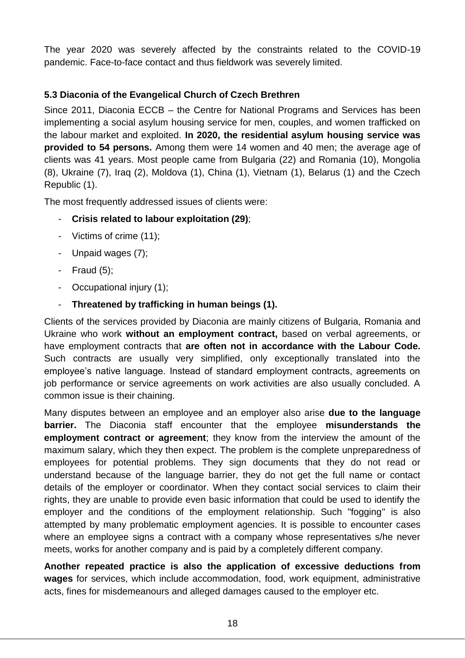The year 2020 was severely affected by the constraints related to the COVID-19 pandemic. Face-to-face contact and thus fieldwork was severely limited.

## <span id="page-17-0"></span>**5.3 Diaconia of the Evangelical Church of Czech Brethren**

Since 2011, Diaconia ECCB – the Centre for National Programs and Services has been implementing a social asylum housing service for men, couples, and women trafficked on the labour market and exploited. **In 2020, the residential asylum housing service was provided to 54 persons.** Among them were 14 women and 40 men; the average age of clients was 41 years. Most people came from Bulgaria (22) and Romania (10), Mongolia (8), Ukraine (7), Iraq (2), Moldova (1), China (1), Vietnam (1), Belarus (1) and the Czech Republic (1).

The most frequently addressed issues of clients were:

- **Crisis related to labour exploitation (29)**;
- Victims of crime (11);
- Unpaid wages (7);
- Fraud (5);
- Occupational injury (1);
- **Threatened by trafficking in human beings (1).**

Clients of the services provided by Diaconia are mainly citizens of Bulgaria, Romania and Ukraine who work **without an employment contract,** based on verbal agreements, or have employment contracts that **are often not in accordance with the Labour Code.** Such contracts are usually very simplified, only exceptionally translated into the employee's native language. Instead of standard employment contracts, agreements on job performance or service agreements on work activities are also usually concluded. A common issue is their chaining.

Many disputes between an employee and an employer also arise **due to the language barrier.** The Diaconia staff encounter that the employee **misunderstands the employment contract or agreement**; they know from the interview the amount of the maximum salary, which they then expect. The problem is the complete unpreparedness of employees for potential problems. They sign documents that they do not read or understand because of the language barrier, they do not get the full name or contact details of the employer or coordinator. When they contact social services to claim their rights, they are unable to provide even basic information that could be used to identify the employer and the conditions of the employment relationship. Such "fogging" is also attempted by many problematic employment agencies. It is possible to encounter cases where an employee signs a contract with a company whose representatives s/he never meets, works for another company and is paid by a completely different company.

**Another repeated practice is also the application of excessive deductions from wages** for services, which include accommodation, food, work equipment, administrative acts, fines for misdemeanours and alleged damages caused to the employer etc.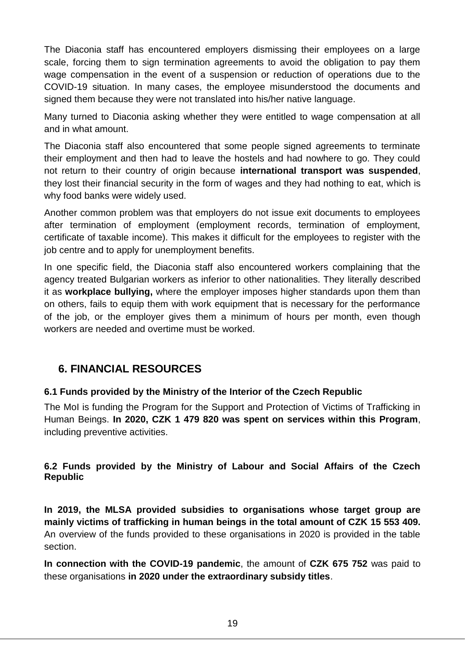The Diaconia staff has encountered employers dismissing their employees on a large scale, forcing them to sign termination agreements to avoid the obligation to pay them wage compensation in the event of a suspension or reduction of operations due to the COVID-19 situation. In many cases, the employee misunderstood the documents and signed them because they were not translated into his/her native language.

Many turned to Diaconia asking whether they were entitled to wage compensation at all and in what amount.

The Diaconia staff also encountered that some people signed agreements to terminate their employment and then had to leave the hostels and had nowhere to go. They could not return to their country of origin because **international transport was suspended**, they lost their financial security in the form of wages and they had nothing to eat, which is why food banks were widely used.

Another common problem was that employers do not issue exit documents to employees after termination of employment (employment records, termination of employment, certificate of taxable income). This makes it difficult for the employees to register with the job centre and to apply for unemployment benefits.

In one specific field, the Diaconia staff also encountered workers complaining that the agency treated Bulgarian workers as inferior to other nationalities. They literally described it as **workplace bullying,** where the employer imposes higher standards upon them than on others, fails to equip them with work equipment that is necessary for the performance of the job, or the employer gives them a minimum of hours per month, even though workers are needed and overtime must be worked.

## <span id="page-18-0"></span>**6. FINANCIAL RESOURCES**

## <span id="page-18-1"></span>**6.1 Funds provided by the Ministry of the Interior of the Czech Republic**

The MoI is funding the Program for the Support and Protection of Victims of Trafficking in Human Beings. **In 2020, CZK 1 479 820 was spent on services within this Program**, including preventive activities.

### <span id="page-18-2"></span>**6.2 Funds provided by the Ministry of Labour and Social Affairs of the Czech Republic**

**In 2019, the MLSA provided subsidies to organisations whose target group are mainly victims of trafficking in human beings in the total amount of CZK 15 553 409.** An overview of the funds provided to these organisations in 2020 is provided in the table section.

**In connection with the COVID-19 pandemic**, the amount of **CZK 675 752** was paid to these organisations **in 2020 under the extraordinary subsidy titles**.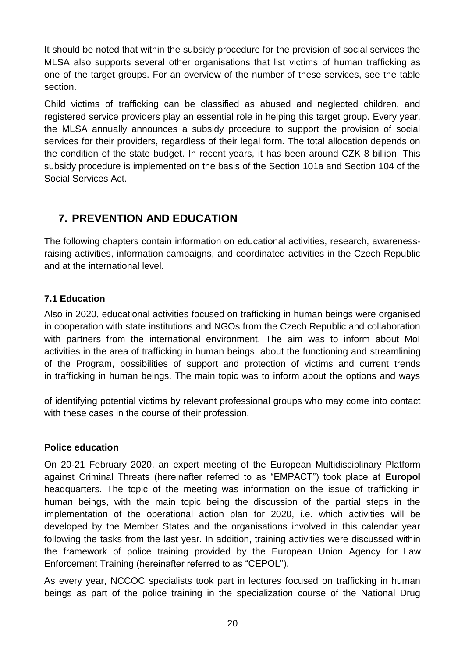It should be noted that within the subsidy procedure for the provision of social services the MLSA also supports several other organisations that list victims of human trafficking as one of the target groups. For an overview of the number of these services, see the table section.

Child victims of trafficking can be classified as abused and neglected children, and registered service providers play an essential role in helping this target group. Every year, the MLSA annually announces a subsidy procedure to support the provision of social services for their providers, regardless of their legal form. The total allocation depends on the condition of the state budget. In recent years, it has been around CZK 8 billion. This subsidy procedure is implemented on the basis of the Section 101a and Section 104 of the Social Services Act.

## <span id="page-19-0"></span>**7. PREVENTION AND EDUCATION**

The following chapters contain information on educational activities, research, awarenessraising activities, information campaigns, and coordinated activities in the Czech Republic and at the international level.

## <span id="page-19-1"></span>**7.1 Education**

Also in 2020, educational activities focused on trafficking in human beings were organised in cooperation with state institutions and NGOs from the Czech Republic and collaboration with partners from the international environment. The aim was to inform about MoI activities in the area of trafficking in human beings, about the functioning and streamlining of the Program, possibilities of support and protection of victims and current trends in trafficking in human beings. The main topic was to inform about the options and ways

of identifying potential victims by relevant professional groups who may come into contact with these cases in the course of their profession.

## **Police education**

On 20-21 February 2020, an expert meeting of the European Multidisciplinary Platform against Criminal Threats (hereinafter referred to as "EMPACT") took place at **Europol** headquarters. The topic of the meeting was information on the issue of trafficking in human beings, with the main topic being the discussion of the partial steps in the implementation of the operational action plan for 2020, i.e. which activities will be developed by the Member States and the organisations involved in this calendar year following the tasks from the last year. In addition, training activities were discussed within the framework of police training provided by the European Union Agency for Law Enforcement Training (hereinafter referred to as "CEPOL").

As every year, NCCOC specialists took part in lectures focused on trafficking in human beings as part of the police training in the specialization course of the National Drug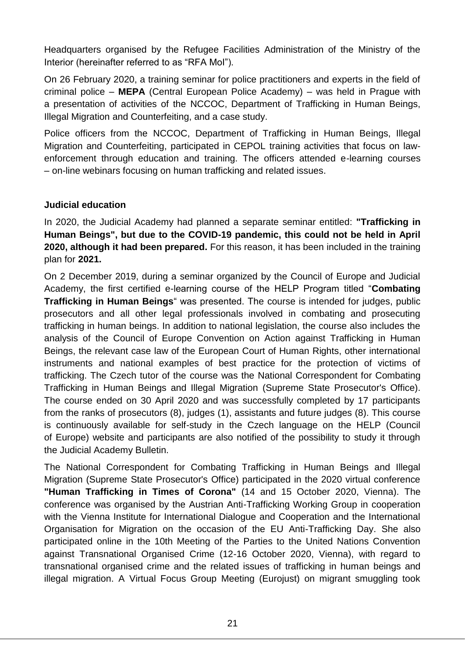Headquarters organised by the Refugee Facilities Administration of the Ministry of the Interior (hereinafter referred to as "RFA MoI").

On 26 February 2020, a training seminar for police practitioners and experts in the field of criminal police – **MEPA** (Central European Police Academy) – was held in Prague with a presentation of activities of the NCCOC, Department of Trafficking in Human Beings, Illegal Migration and Counterfeiting, and a case study.

Police officers from the NCCOC, Department of Trafficking in Human Beings, Illegal Migration and Counterfeiting, participated in CEPOL training activities that focus on lawenforcement through education and training. The officers attended e-learning courses – on-line webinars focusing on human trafficking and related issues.

### **Judicial education**

In 2020, the Judicial Academy had planned a separate seminar entitled: **"Trafficking in Human Beings", but due to the COVID-19 pandemic, this could not be held in April 2020, although it had been prepared.** For this reason, it has been included in the training plan for **2021.**

On 2 December 2019, during a seminar organized by the Council of Europe and Judicial Academy, the first certified e-learning course of the HELP Program titled "**Combating Trafficking in Human Beings**" was presented. The course is intended for judges, public prosecutors and all other legal professionals involved in combating and prosecuting trafficking in human beings. In addition to national legislation, the course also includes the analysis of the Council of Europe Convention on Action against Trafficking in Human Beings, the relevant case law of the European Court of Human Rights, other international instruments and national examples of best practice for the protection of victims of trafficking. The Czech tutor of the course was the National Correspondent for Combating Trafficking in Human Beings and Illegal Migration (Supreme State Prosecutor's Office). The course ended on 30 April 2020 and was successfully completed by 17 participants from the ranks of prosecutors (8), judges (1), assistants and future judges (8). This course is continuously available for self-study in the Czech language on the HELP (Council of Europe) website and participants are also notified of the possibility to study it through the Judicial Academy Bulletin.

The National Correspondent for Combating Trafficking in Human Beings and Illegal Migration (Supreme State Prosecutor's Office) participated in the 2020 virtual conference **"Human Trafficking in Times of Corona"** (14 and 15 October 2020, Vienna). The conference was organised by the Austrian Anti-Trafficking Working Group in cooperation with the Vienna Institute for International Dialogue and Cooperation and the International Organisation for Migration on the occasion of the EU Anti-Trafficking Day. She also participated online in the 10th Meeting of the Parties to the United Nations Convention against Transnational Organised Crime (12-16 October 2020, Vienna), with regard to transnational organised crime and the related issues of trafficking in human beings and illegal migration. A Virtual Focus Group Meeting (Eurojust) on migrant smuggling took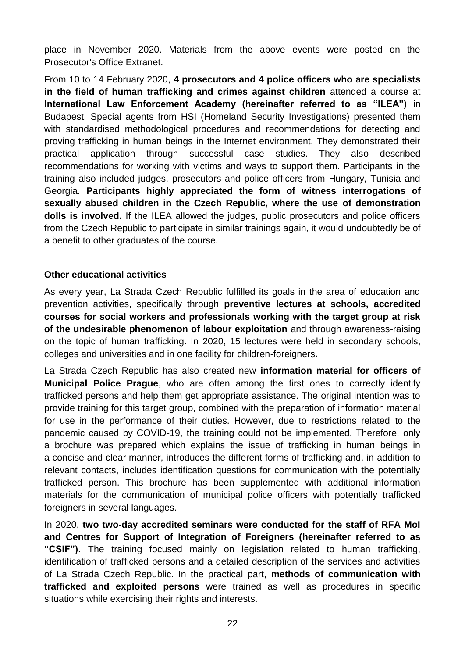place in November 2020. Materials from the above events were posted on the Prosecutor's Office Extranet.

From 10 to 14 February 2020, **4 prosecutors and 4 police officers who are specialists in the field of human trafficking and crimes against children** attended a course at **International Law Enforcement Academy (hereinafter referred to as "ILEA")** in Budapest. Special agents from HSI (Homeland Security Investigations) presented them with standardised methodological procedures and recommendations for detecting and proving trafficking in human beings in the Internet environment. They demonstrated their practical application through successful case studies. They also described recommendations for working with victims and ways to support them. Participants in the training also included judges, prosecutors and police officers from Hungary, Tunisia and Georgia. **Participants highly appreciated the form of witness interrogations of sexually abused children in the Czech Republic, where the use of demonstration dolls is involved.** If the ILEA allowed the judges, public prosecutors and police officers from the Czech Republic to participate in similar trainings again, it would undoubtedly be of a benefit to other graduates of the course.

#### **Other educational activities**

As every year, La Strada Czech Republic fulfilled its goals in the area of education and prevention activities, specifically through **preventive lectures at schools, accredited courses for social workers and professionals working with the target group at risk of the undesirable phenomenon of labour exploitation** and through awareness-raising on the topic of human trafficking. In 2020, 15 lectures were held in secondary schools, colleges and universities and in one facility for children-foreigners**.**

La Strada Czech Republic has also created new **information material for officers of Municipal Police Prague**, who are often among the first ones to correctly identify trafficked persons and help them get appropriate assistance. The original intention was to provide training for this target group, combined with the preparation of information material for use in the performance of their duties. However, due to restrictions related to the pandemic caused by COVID-19, the training could not be implemented. Therefore, only a brochure was prepared which explains the issue of trafficking in human beings in a concise and clear manner, introduces the different forms of trafficking and, in addition to relevant contacts, includes identification questions for communication with the potentially trafficked person. This brochure has been supplemented with additional information materials for the communication of municipal police officers with potentially trafficked foreigners in several languages.

In 2020, **two two-day accredited seminars were conducted for the staff of RFA MoI and Centres for Support of Integration of Foreigners (hereinafter referred to as "CSIF")**. The training focused mainly on legislation related to human trafficking, identification of trafficked persons and a detailed description of the services and activities of La Strada Czech Republic. In the practical part, **methods of communication with trafficked and exploited persons** were trained as well as procedures in specific situations while exercising their rights and interests.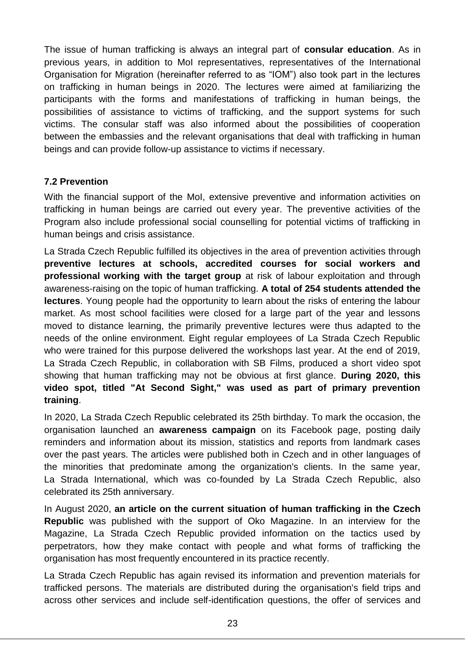The issue of human trafficking is always an integral part of **consular education**. As in previous years, in addition to MoI representatives, representatives of the International Organisation for Migration (hereinafter referred to as "IOM") also took part in the lectures on trafficking in human beings in 2020. The lectures were aimed at familiarizing the participants with the forms and manifestations of trafficking in human beings, the possibilities of assistance to victims of trafficking, and the support systems for such victims. The consular staff was also informed about the possibilities of cooperation between the embassies and the relevant organisations that deal with trafficking in human beings and can provide follow-up assistance to victims if necessary.

#### <span id="page-22-0"></span>**7.2 Prevention**

With the financial support of the MoI, extensive preventive and information activities on trafficking in human beings are carried out every year. The preventive activities of the Program also include professional social counselling for potential victims of trafficking in human beings and crisis assistance.

La Strada Czech Republic fulfilled its objectives in the area of prevention activities through **preventive lectures at schools, accredited courses for social workers and professional working with the target group** at risk of labour exploitation and through awareness-raising on the topic of human trafficking. **A total of 254 students attended the lectures**. Young people had the opportunity to learn about the risks of entering the labour market. As most school facilities were closed for a large part of the year and lessons moved to distance learning, the primarily preventive lectures were thus adapted to the needs of the online environment. Eight regular employees of La Strada Czech Republic who were trained for this purpose delivered the workshops last year. At the end of 2019, La Strada Czech Republic, in collaboration with SB Films, produced a short video spot showing that human trafficking may not be obvious at first glance. **During 2020, this video spot, titled "At Second Sight," was used as part of primary prevention training**.

In 2020, La Strada Czech Republic celebrated its 25th birthday. To mark the occasion, the organisation launched an **awareness campaign** on its Facebook page, posting daily reminders and information about its mission, statistics and reports from landmark cases over the past years. The articles were published both in Czech and in other languages of the minorities that predominate among the organization's clients. In the same year, La Strada International, which was co-founded by La Strada Czech Republic, also celebrated its 25th anniversary.

In August 2020, **an article on the current situation of human trafficking in the Czech Republic** was published with the support of Oko Magazine. In an interview for the Magazine, La Strada Czech Republic provided information on the tactics used by perpetrators, how they make contact with people and what forms of trafficking the organisation has most frequently encountered in its practice recently.

La Strada Czech Republic has again revised its information and prevention materials for trafficked persons. The materials are distributed during the organisation's field trips and across other services and include self-identification questions, the offer of services and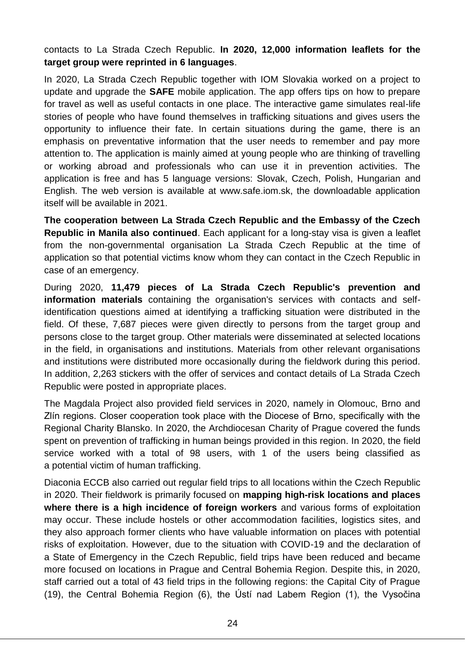contacts to La Strada Czech Republic. **In 2020, 12,000 information leaflets for the target group were reprinted in 6 languages**.

In 2020, La Strada Czech Republic together with IOM Slovakia worked on a project to update and upgrade the **SAFE** mobile application. The app offers tips on how to prepare for travel as well as useful contacts in one place. The interactive game simulates real-life stories of people who have found themselves in trafficking situations and gives users the opportunity to influence their fate. In certain situations during the game, there is an emphasis on preventative information that the user needs to remember and pay more attention to. The application is mainly aimed at young people who are thinking of travelling or working abroad and professionals who can use it in prevention activities. The application is free and has 5 language versions: Slovak, Czech, Polish, Hungarian and English. The web version is available at www.safe.iom.sk, the downloadable application itself will be available in 2021.

**The cooperation between La Strada Czech Republic and the Embassy of the Czech Republic in Manila also continued**. Each applicant for a long-stay visa is given a leaflet from the non-governmental organisation La Strada Czech Republic at the time of application so that potential victims know whom they can contact in the Czech Republic in case of an emergency.

During 2020, **11,479 pieces of La Strada Czech Republic's prevention and information materials** containing the organisation's services with contacts and selfidentification questions aimed at identifying a trafficking situation were distributed in the field. Of these, 7,687 pieces were given directly to persons from the target group and persons close to the target group. Other materials were disseminated at selected locations in the field, in organisations and institutions. Materials from other relevant organisations and institutions were distributed more occasionally during the fieldwork during this period. In addition, 2,263 stickers with the offer of services and contact details of La Strada Czech Republic were posted in appropriate places.

The Magdala Project also provided field services in 2020, namely in Olomouc, Brno and Zlín regions. Closer cooperation took place with the Diocese of Brno, specifically with the Regional Charity Blansko. In 2020, the Archdiocesan Charity of Prague covered the funds spent on prevention of trafficking in human beings provided in this region. In 2020, the field service worked with a total of 98 users, with 1 of the users being classified as a potential victim of human trafficking.

Diaconia ECCB also carried out regular field trips to all locations within the Czech Republic in 2020. Their fieldwork is primarily focused on **mapping high-risk locations and places where there is a high incidence of foreign workers** and various forms of exploitation may occur. These include hostels or other accommodation facilities, logistics sites, and they also approach former clients who have valuable information on places with potential risks of exploitation. However, due to the situation with COVID-19 and the declaration of a State of Emergency in the Czech Republic, field trips have been reduced and became more focused on locations in Prague and Central Bohemia Region. Despite this, in 2020, staff carried out a total of 43 field trips in the following regions: the Capital City of Prague (19), the Central Bohemia Region (6), the Ústí nad Labem Region (1), the Vysočina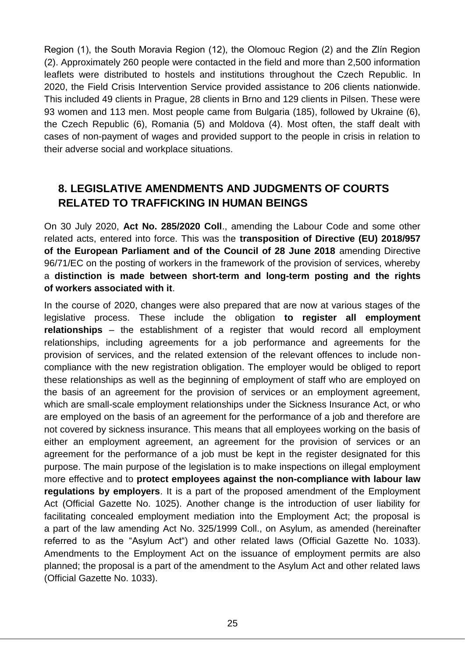Region (1), the South Moravia Region (12), the Olomouc Region (2) and the Zlín Region (2). Approximately 260 people were contacted in the field and more than 2,500 information leaflets were distributed to hostels and institutions throughout the Czech Republic. In 2020, the Field Crisis Intervention Service provided assistance to 206 clients nationwide. This included 49 clients in Prague, 28 clients in Brno and 129 clients in Pilsen. These were 93 women and 113 men. Most people came from Bulgaria (185), followed by Ukraine (6), the Czech Republic (6), Romania (5) and Moldova (4). Most often, the staff dealt with cases of non-payment of wages and provided support to the people in crisis in relation to their adverse social and workplace situations.

## <span id="page-24-0"></span>**8. LEGISLATIVE AMENDMENTS AND JUDGMENTS OF COURTS RELATED TO TRAFFICKING IN HUMAN BEINGS**

On 30 July 2020, **Act No. 285/2020 Coll**., amending the Labour Code and some other related acts, entered into force. This was the **transposition of Directive (EU) 2018/957 of the European Parliament and of the Council of 28 June 2018** amending Directive 96/71/EC on the posting of workers in the framework of the provision of services, whereby a **distinction is made between short-term and long-term posting and the rights of workers associated with it**.

In the course of 2020, changes were also prepared that are now at various stages of the legislative process. These include the obligation **to register all employment relationships** – the establishment of a register that would record all employment relationships, including agreements for a job performance and agreements for the provision of services, and the related extension of the relevant offences to include noncompliance with the new registration obligation. The employer would be obliged to report these relationships as well as the beginning of employment of staff who are employed on the basis of an agreement for the provision of services or an employment agreement, which are small-scale employment relationships under the Sickness Insurance Act, or who are employed on the basis of an agreement for the performance of a job and therefore are not covered by sickness insurance. This means that all employees working on the basis of either an employment agreement, an agreement for the provision of services or an agreement for the performance of a job must be kept in the register designated for this purpose. The main purpose of the legislation is to make inspections on illegal employment more effective and to **protect employees against the non-compliance with labour law regulations by employers**. It is a part of the proposed amendment of the Employment Act (Official Gazette No. 1025). Another change is the introduction of user liability for facilitating concealed employment mediation into the Employment Act; the proposal is a part of the law amending Act No. 325/1999 Coll., on Asylum, as amended (hereinafter referred to as the "Asylum Act") and other related laws (Official Gazette No. 1033). Amendments to the Employment Act on the issuance of employment permits are also planned; the proposal is a part of the amendment to the Asylum Act and other related laws (Official Gazette No. 1033).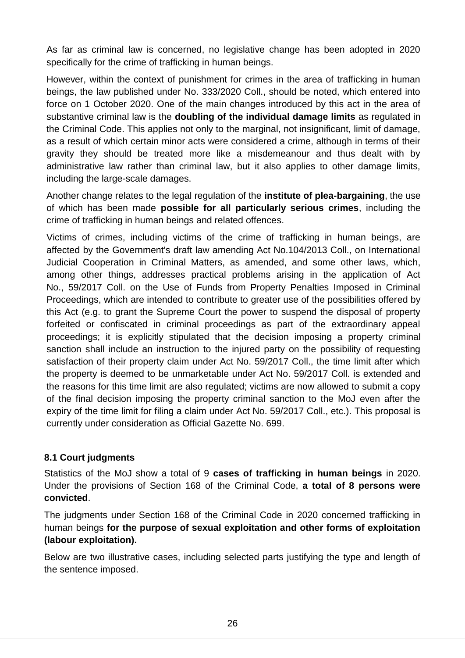As far as criminal law is concerned, no legislative change has been adopted in 2020 specifically for the crime of trafficking in human beings.

However, within the context of punishment for crimes in the area of trafficking in human beings, the law published under No. 333/2020 Coll., should be noted, which entered into force on 1 October 2020. One of the main changes introduced by this act in the area of substantive criminal law is the **doubling of the individual damage limits** as regulated in the Criminal Code. This applies not only to the marginal, not insignificant, limit of damage, as a result of which certain minor acts were considered a crime, although in terms of their gravity they should be treated more like a misdemeanour and thus dealt with by administrative law rather than criminal law, but it also applies to other damage limits, including the large-scale damages.

Another change relates to the legal regulation of the **institute of plea-bargaining**, the use of which has been made **possible for all particularly serious crimes**, including the crime of trafficking in human beings and related offences.

Victims of crimes, including victims of the crime of trafficking in human beings, are affected by the Government's draft law amending Act No.104/2013 Coll., on International Judicial Cooperation in Criminal Matters, as amended, and some other laws, which, among other things, addresses practical problems arising in the application of Act No., 59/2017 Coll. on the Use of Funds from Property Penalties Imposed in Criminal Proceedings, which are intended to contribute to greater use of the possibilities offered by this Act (e.g. to grant the Supreme Court the power to suspend the disposal of property forfeited or confiscated in criminal proceedings as part of the extraordinary appeal proceedings; it is explicitly stipulated that the decision imposing a property criminal sanction shall include an instruction to the injured party on the possibility of requesting satisfaction of their property claim under Act No. 59/2017 Coll., the time limit after which the property is deemed to be unmarketable under Act No. 59/2017 Coll. is extended and the reasons for this time limit are also regulated; victims are now allowed to submit a copy of the final decision imposing the property criminal sanction to the MoJ even after the expiry of the time limit for filing a claim under Act No. 59/2017 Coll., etc.). This proposal is currently under consideration as Official Gazette No. 699.

#### <span id="page-25-0"></span>**8.1 Court judgments**

Statistics of the MoJ show a total of 9 **cases of trafficking in human beings** in 2020. Under the provisions of Section 168 of the Criminal Code, **a total of 8 persons were convicted**.

The judgments under Section 168 of the Criminal Code in 2020 concerned trafficking in human beings **for the purpose of sexual exploitation and other forms of exploitation (labour exploitation).** 

Below are two illustrative cases, including selected parts justifying the type and length of the sentence imposed.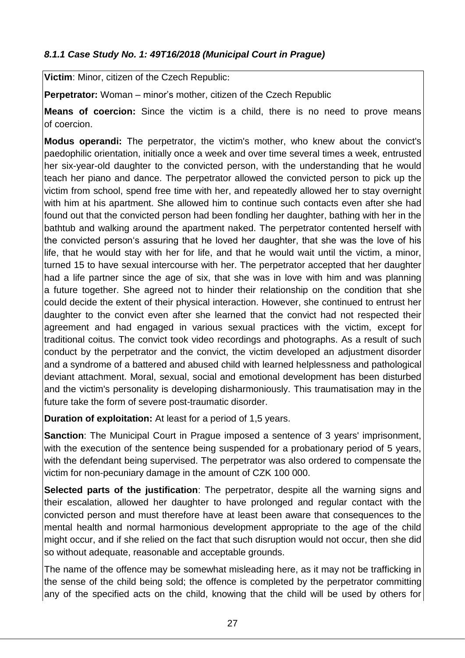## <span id="page-26-0"></span>*8.1.1 Case Study No. 1: 49T16/2018 (Municipal Court in Prague)*

**Victim**: Minor, citizen of the Czech Republic:

**Perpetrator:** Woman – minor's mother, citizen of the Czech Republic

**Means of coercion:** Since the victim is a child, there is no need to prove means of coercion.

**Modus operandi:** The perpetrator, the victim's mother, who knew about the convict's paedophilic orientation, initially once a week and over time several times a week, entrusted her six-year-old daughter to the convicted person, with the understanding that he would teach her piano and dance. The perpetrator allowed the convicted person to pick up the victim from school, spend free time with her, and repeatedly allowed her to stay overnight with him at his apartment. She allowed him to continue such contacts even after she had found out that the convicted person had been fondling her daughter, bathing with her in the bathtub and walking around the apartment naked. The perpetrator contented herself with the convicted person's assuring that he loved her daughter, that she was the love of his life, that he would stay with her for life, and that he would wait until the victim, a minor, turned 15 to have sexual intercourse with her. The perpetrator accepted that her daughter had a life partner since the age of six, that she was in love with him and was planning a future together. She agreed not to hinder their relationship on the condition that she could decide the extent of their physical interaction. However, she continued to entrust her daughter to the convict even after she learned that the convict had not respected their agreement and had engaged in various sexual practices with the victim, except for traditional coitus. The convict took video recordings and photographs. As a result of such conduct by the perpetrator and the convict, the victim developed an adjustment disorder and a syndrome of a battered and abused child with learned helplessness and pathological deviant attachment. Moral, sexual, social and emotional development has been disturbed and the victim's personality is developing disharmoniously. This traumatisation may in the future take the form of severe post-traumatic disorder.

**Duration of exploitation:** At least for a period of 1,5 years.

**Sanction**: The Municipal Court in Prague imposed a sentence of 3 years' imprisonment, with the execution of the sentence being suspended for a probationary period of 5 years, with the defendant being supervised. The perpetrator was also ordered to compensate the victim for non-pecuniary damage in the amount of CZK 100 000.

**Selected parts of the justification**: The perpetrator, despite all the warning signs and their escalation, allowed her daughter to have prolonged and regular contact with the convicted person and must therefore have at least been aware that consequences to the mental health and normal harmonious development appropriate to the age of the child might occur, and if she relied on the fact that such disruption would not occur, then she did so without adequate, reasonable and acceptable grounds.

The name of the offence may be somewhat misleading here, as it may not be trafficking in the sense of the child being sold; the offence is completed by the perpetrator committing any of the specified acts on the child, knowing that the child will be used by others for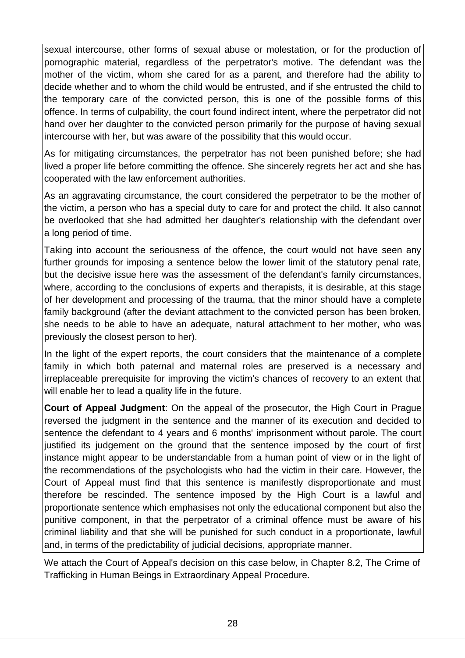sexual intercourse, other forms of sexual abuse or molestation, or for the production of pornographic material, regardless of the perpetrator's motive. The defendant was the mother of the victim, whom she cared for as a parent, and therefore had the ability to decide whether and to whom the child would be entrusted, and if she entrusted the child to the temporary care of the convicted person, this is one of the possible forms of this offence. In terms of culpability, the court found indirect intent, where the perpetrator did not hand over her daughter to the convicted person primarily for the purpose of having sexual intercourse with her, but was aware of the possibility that this would occur.

As for mitigating circumstances, the perpetrator has not been punished before; she had lived a proper life before committing the offence. She sincerely regrets her act and she has cooperated with the law enforcement authorities.

As an aggravating circumstance, the court considered the perpetrator to be the mother of the victim, a person who has a special duty to care for and protect the child. It also cannot be overlooked that she had admitted her daughter's relationship with the defendant over a long period of time.

Taking into account the seriousness of the offence, the court would not have seen any further grounds for imposing a sentence below the lower limit of the statutory penal rate, but the decisive issue here was the assessment of the defendant's family circumstances, where, according to the conclusions of experts and therapists, it is desirable, at this stage of her development and processing of the trauma, that the minor should have a complete family background (after the deviant attachment to the convicted person has been broken, she needs to be able to have an adequate, natural attachment to her mother, who was previously the closest person to her).

In the light of the expert reports, the court considers that the maintenance of a complete family in which both paternal and maternal roles are preserved is a necessary and irreplaceable prerequisite for improving the victim's chances of recovery to an extent that will enable her to lead a quality life in the future.

**Court of Appeal Judgment**: On the appeal of the prosecutor, the High Court in Prague reversed the judgment in the sentence and the manner of its execution and decided to sentence the defendant to 4 years and 6 months' imprisonment without parole. The court justified its judgement on the ground that the sentence imposed by the court of first instance might appear to be understandable from a human point of view or in the light of the recommendations of the psychologists who had the victim in their care. However, the Court of Appeal must find that this sentence is manifestly disproportionate and must therefore be rescinded. The sentence imposed by the High Court is a lawful and proportionate sentence which emphasises not only the educational component but also the punitive component, in that the perpetrator of a criminal offence must be aware of his criminal liability and that she will be punished for such conduct in a proportionate, lawful and, in terms of the predictability of judicial decisions, appropriate manner.

We attach the Court of Appeal's decision on this case below, in Chapter 8.2, The Crime of Trafficking in Human Beings in Extraordinary Appeal Procedure.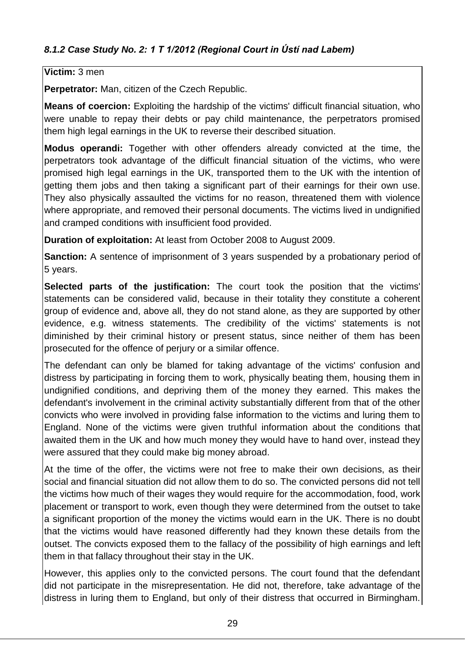#### <span id="page-28-0"></span>**Victim:** 3 men

**Perpetrator:** Man, citizen of the Czech Republic.

**Means of coercion:** Exploiting the hardship of the victims' difficult financial situation, who were unable to repay their debts or pay child maintenance, the perpetrators promised them high legal earnings in the UK to reverse their described situation.

**Modus operandi:** Together with other offenders already convicted at the time, the perpetrators took advantage of the difficult financial situation of the victims, who were promised high legal earnings in the UK, transported them to the UK with the intention of getting them jobs and then taking a significant part of their earnings for their own use. They also physically assaulted the victims for no reason, threatened them with violence where appropriate, and removed their personal documents. The victims lived in undignified and cramped conditions with insufficient food provided.

**Duration of exploitation:** At least from October 2008 to August 2009.

**Sanction:** A sentence of imprisonment of 3 years suspended by a probationary period of 5 years.

**Selected parts of the justification:** The court took the position that the victims' statements can be considered valid, because in their totality they constitute a coherent group of evidence and, above all, they do not stand alone, as they are supported by other evidence, e.g. witness statements. The credibility of the victims' statements is not diminished by their criminal history or present status, since neither of them has been prosecuted for the offence of perjury or a similar offence.

The defendant can only be blamed for taking advantage of the victims' confusion and distress by participating in forcing them to work, physically beating them, housing them in undignified conditions, and depriving them of the money they earned. This makes the defendant's involvement in the criminal activity substantially different from that of the other convicts who were involved in providing false information to the victims and luring them to England. None of the victims were given truthful information about the conditions that awaited them in the UK and how much money they would have to hand over, instead they were assured that they could make big money abroad.

At the time of the offer, the victims were not free to make their own decisions, as their social and financial situation did not allow them to do so. The convicted persons did not tell the victims how much of their wages they would require for the accommodation, food, work placement or transport to work, even though they were determined from the outset to take a significant proportion of the money the victims would earn in the UK. There is no doubt that the victims would have reasoned differently had they known these details from the outset. The convicts exposed them to the fallacy of the possibility of high earnings and left them in that fallacy throughout their stay in the UK.

However, this applies only to the convicted persons. The court found that the defendant did not participate in the misrepresentation. He did not, therefore, take advantage of the distress in luring them to England, but only of their distress that occurred in Birmingham.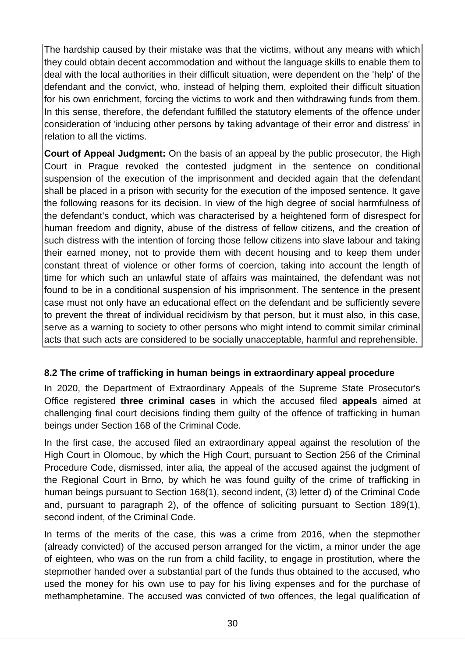The hardship caused by their mistake was that the victims, without any means with which they could obtain decent accommodation and without the language skills to enable them to deal with the local authorities in their difficult situation, were dependent on the 'help' of the defendant and the convict, who, instead of helping them, exploited their difficult situation for his own enrichment, forcing the victims to work and then withdrawing funds from them. In this sense, therefore, the defendant fulfilled the statutory elements of the offence under consideration of 'inducing other persons by taking advantage of their error and distress' in relation to all the victims.

**Court of Appeal Judgment:** On the basis of an appeal by the public prosecutor, the High Court in Prague revoked the contested judgment in the sentence on conditional suspension of the execution of the imprisonment and decided again that the defendant shall be placed in a prison with security for the execution of the imposed sentence. It gave the following reasons for its decision. In view of the high degree of social harmfulness of the defendant's conduct, which was characterised by a heightened form of disrespect for human freedom and dignity, abuse of the distress of fellow citizens, and the creation of such distress with the intention of forcing those fellow citizens into slave labour and taking their earned money, not to provide them with decent housing and to keep them under constant threat of violence or other forms of coercion, taking into account the length of time for which such an unlawful state of affairs was maintained, the defendant was not found to be in a conditional suspension of his imprisonment. The sentence in the present case must not only have an educational effect on the defendant and be sufficiently severe to prevent the threat of individual recidivism by that person, but it must also, in this case, serve as a warning to society to other persons who might intend to commit similar criminal acts that such acts are considered to be socially unacceptable, harmful and reprehensible.

## <span id="page-29-0"></span>**8.2 The crime of trafficking in human beings in extraordinary appeal procedure**

In 2020, the Department of Extraordinary Appeals of the Supreme State Prosecutor's Office registered **three criminal cases** in which the accused filed **appeals** aimed at challenging final court decisions finding them guilty of the offence of trafficking in human beings under Section 168 of the Criminal Code.

In the first case, the accused filed an extraordinary appeal against the resolution of the High Court in Olomouc, by which the High Court, pursuant to Section 256 of the Criminal Procedure Code, dismissed, inter alia, the appeal of the accused against the judgment of the Regional Court in Brno, by which he was found guilty of the crime of trafficking in human beings pursuant to Section 168(1), second indent, (3) letter d) of the Criminal Code and, pursuant to paragraph 2), of the offence of soliciting pursuant to Section 189(1), second indent, of the Criminal Code.

In terms of the merits of the case, this was a crime from 2016, when the stepmother (already convicted) of the accused person arranged for the victim, a minor under the age of eighteen, who was on the run from a child facility, to engage in prostitution, where the stepmother handed over a substantial part of the funds thus obtained to the accused, who used the money for his own use to pay for his living expenses and for the purchase of methamphetamine. The accused was convicted of two offences, the legal qualification of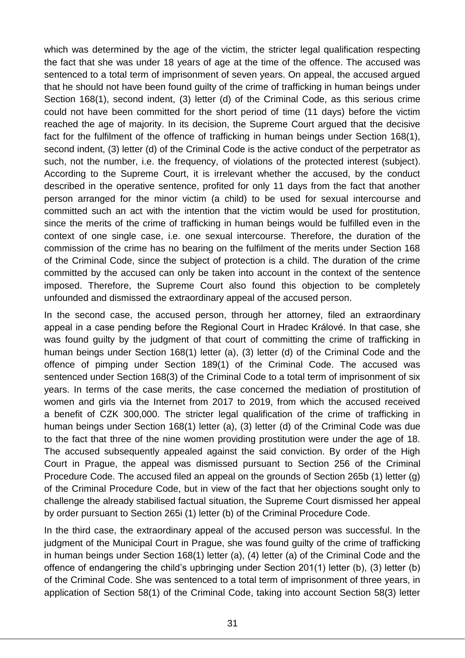which was determined by the age of the victim, the stricter legal qualification respecting the fact that she was under 18 years of age at the time of the offence. The accused was sentenced to a total term of imprisonment of seven years. On appeal, the accused argued that he should not have been found guilty of the crime of trafficking in human beings under Section 168(1), second indent, (3) letter (d) of the Criminal Code, as this serious crime could not have been committed for the short period of time (11 days) before the victim reached the age of majority. In its decision, the Supreme Court argued that the decisive fact for the fulfilment of the offence of trafficking in human beings under Section 168(1), second indent, (3) letter (d) of the Criminal Code is the active conduct of the perpetrator as such, not the number, i.e. the frequency, of violations of the protected interest (subject). According to the Supreme Court, it is irrelevant whether the accused, by the conduct described in the operative sentence, profited for only 11 days from the fact that another person arranged for the minor victim (a child) to be used for sexual intercourse and committed such an act with the intention that the victim would be used for prostitution, since the merits of the crime of trafficking in human beings would be fulfilled even in the context of one single case, i.e. one sexual intercourse. Therefore, the duration of the commission of the crime has no bearing on the fulfilment of the merits under Section 168 of the Criminal Code, since the subject of protection is a child. The duration of the crime committed by the accused can only be taken into account in the context of the sentence imposed. Therefore, the Supreme Court also found this objection to be completely unfounded and dismissed the extraordinary appeal of the accused person.

In the second case, the accused person, through her attorney, filed an extraordinary appeal in a case pending before the Regional Court in Hradec Králové. In that case, she was found guilty by the judgment of that court of committing the crime of trafficking in human beings under Section 168(1) letter (a), (3) letter (d) of the Criminal Code and the offence of pimping under Section 189(1) of the Criminal Code. The accused was sentenced under Section 168(3) of the Criminal Code to a total term of imprisonment of six years. In terms of the case merits, the case concerned the mediation of prostitution of women and girls via the Internet from 2017 to 2019, from which the accused received a benefit of CZK 300,000. The stricter legal qualification of the crime of trafficking in human beings under Section 168(1) letter (a), (3) letter (d) of the Criminal Code was due to the fact that three of the nine women providing prostitution were under the age of 18. The accused subsequently appealed against the said conviction. By order of the High Court in Prague, the appeal was dismissed pursuant to Section 256 of the Criminal Procedure Code. The accused filed an appeal on the grounds of Section 265b (1) letter (g) of the Criminal Procedure Code, but in view of the fact that her objections sought only to challenge the already stabilised factual situation, the Supreme Court dismissed her appeal by order pursuant to Section 265i (1) letter (b) of the Criminal Procedure Code.

In the third case, the extraordinary appeal of the accused person was successful. In the judgment of the Municipal Court in Prague, she was found guilty of the crime of trafficking in human beings under Section 168(1) letter (a), (4) letter (a) of the Criminal Code and the offence of endangering the child's upbringing under Section 201(1) letter (b), (3) letter (b) of the Criminal Code. She was sentenced to a total term of imprisonment of three years, in application of Section 58(1) of the Criminal Code, taking into account Section 58(3) letter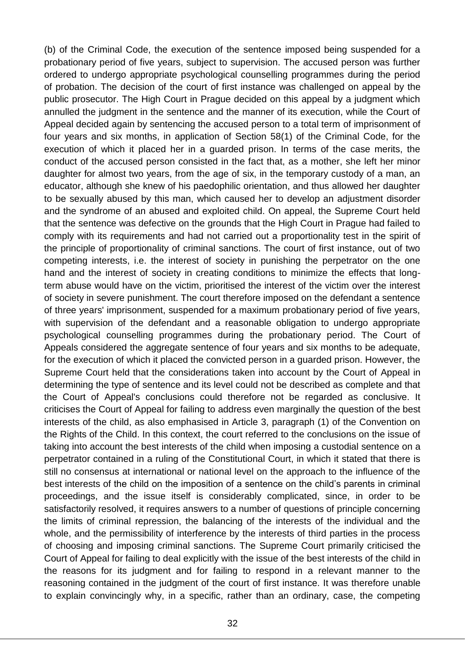(b) of the Criminal Code, the execution of the sentence imposed being suspended for a probationary period of five years, subject to supervision. The accused person was further ordered to undergo appropriate psychological counselling programmes during the period of probation. The decision of the court of first instance was challenged on appeal by the public prosecutor. The High Court in Prague decided on this appeal by a judgment which annulled the judgment in the sentence and the manner of its execution, while the Court of Appeal decided again by sentencing the accused person to a total term of imprisonment of four years and six months, in application of Section 58(1) of the Criminal Code, for the execution of which it placed her in a guarded prison. In terms of the case merits, the conduct of the accused person consisted in the fact that, as a mother, she left her minor daughter for almost two years, from the age of six, in the temporary custody of a man, an educator, although she knew of his paedophilic orientation, and thus allowed her daughter to be sexually abused by this man, which caused her to develop an adjustment disorder and the syndrome of an abused and exploited child. On appeal, the Supreme Court held that the sentence was defective on the grounds that the High Court in Prague had failed to comply with its requirements and had not carried out a proportionality test in the spirit of the principle of proportionality of criminal sanctions. The court of first instance, out of two competing interests, i.e. the interest of society in punishing the perpetrator on the one hand and the interest of society in creating conditions to minimize the effects that longterm abuse would have on the victim, prioritised the interest of the victim over the interest of society in severe punishment. The court therefore imposed on the defendant a sentence of three years' imprisonment, suspended for a maximum probationary period of five years, with supervision of the defendant and a reasonable obligation to undergo appropriate psychological counselling programmes during the probationary period. The Court of Appeals considered the aggregate sentence of four years and six months to be adequate, for the execution of which it placed the convicted person in a guarded prison. However, the Supreme Court held that the considerations taken into account by the Court of Appeal in determining the type of sentence and its level could not be described as complete and that the Court of Appeal's conclusions could therefore not be regarded as conclusive. It criticises the Court of Appeal for failing to address even marginally the question of the best interests of the child, as also emphasised in Article 3, paragraph (1) of the Convention on the Rights of the Child. In this context, the court referred to the conclusions on the issue of taking into account the best interests of the child when imposing a custodial sentence on a perpetrator contained in a ruling of the Constitutional Court, in which it stated that there is still no consensus at international or national level on the approach to the influence of the best interests of the child on the imposition of a sentence on the child's parents in criminal proceedings, and the issue itself is considerably complicated, since, in order to be satisfactorily resolved, it requires answers to a number of questions of principle concerning the limits of criminal repression, the balancing of the interests of the individual and the whole, and the permissibility of interference by the interests of third parties in the process of choosing and imposing criminal sanctions. The Supreme Court primarily criticised the Court of Appeal for failing to deal explicitly with the issue of the best interests of the child in the reasons for its judgment and for failing to respond in a relevant manner to the reasoning contained in the judgment of the court of first instance. It was therefore unable to explain convincingly why, in a specific, rather than an ordinary, case, the competing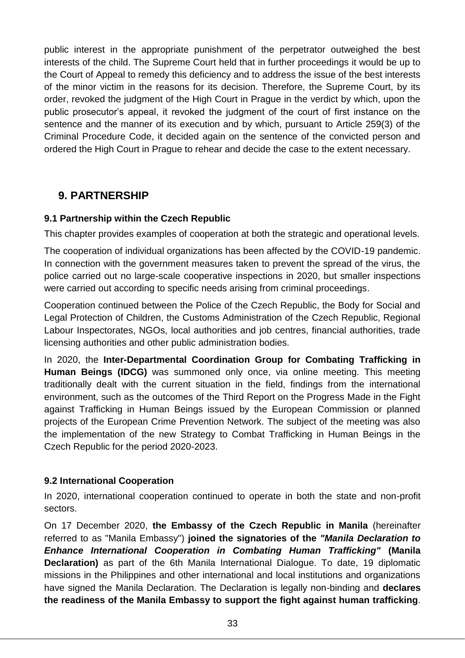public interest in the appropriate punishment of the perpetrator outweighed the best interests of the child. The Supreme Court held that in further proceedings it would be up to the Court of Appeal to remedy this deficiency and to address the issue of the best interests of the minor victim in the reasons for its decision. Therefore, the Supreme Court, by its order, revoked the judgment of the High Court in Prague in the verdict by which, upon the public prosecutor's appeal, it revoked the judgment of the court of first instance on the sentence and the manner of its execution and by which, pursuant to Article 259(3) of the Criminal Procedure Code, it decided again on the sentence of the convicted person and ordered the High Court in Prague to rehear and decide the case to the extent necessary.

## <span id="page-32-0"></span>**9. PARTNERSHIP**

## <span id="page-32-1"></span>**9.1 Partnership within the Czech Republic**

This chapter provides examples of cooperation at both the strategic and operational levels.

The cooperation of individual organizations has been affected by the COVID-19 pandemic. In connection with the government measures taken to prevent the spread of the virus, the police carried out no large-scale cooperative inspections in 2020, but smaller inspections were carried out according to specific needs arising from criminal proceedings.

Cooperation continued between the Police of the Czech Republic, the Body for Social and Legal Protection of Children, the Customs Administration of the Czech Republic, Regional Labour Inspectorates, NGOs, local authorities and job centres, financial authorities, trade licensing authorities and other public administration bodies.

In 2020, the **Inter-Departmental Coordination Group for Combating Trafficking in Human Beings (IDCG)** was summoned only once, via online meeting. This meeting traditionally dealt with the current situation in the field, findings from the international environment, such as the outcomes of the Third Report on the Progress Made in the Fight against Trafficking in Human Beings issued by the European Commission or planned projects of the European Crime Prevention Network. The subject of the meeting was also the implementation of the new Strategy to Combat Trafficking in Human Beings in the Czech Republic for the period 2020-2023.

#### <span id="page-32-2"></span>**9.2 International Cooperation**

In 2020, international cooperation continued to operate in both the state and non-profit sectors.

On 17 December 2020, **the Embassy of the Czech Republic in Manila** (hereinafter referred to as "Manila Embassy") **joined the signatories of the** *"Manila Declaration to Enhance International Cooperation in Combating Human Trafficking"* **(Manila Declaration)** as part of the 6th Manila International Dialogue. To date, 19 diplomatic missions in the Philippines and other international and local institutions and organizations have signed the Manila Declaration. The Declaration is legally non-binding and **declares the readiness of the Manila Embassy to support the fight against human trafficking**.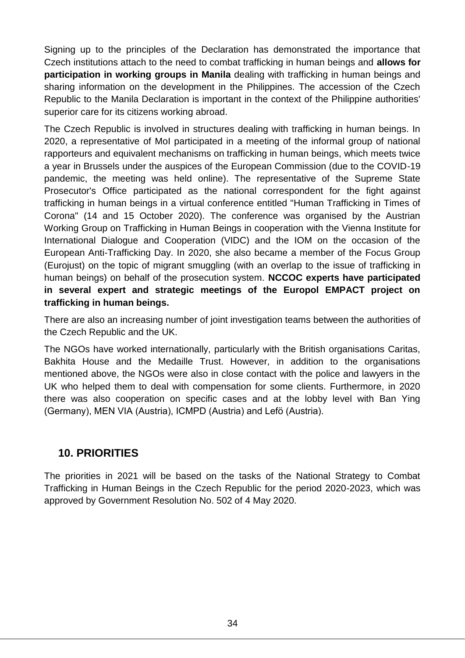Signing up to the principles of the Declaration has demonstrated the importance that Czech institutions attach to the need to combat trafficking in human beings and **allows for participation in working groups in Manila** dealing with trafficking in human beings and sharing information on the development in the Philippines. The accession of the Czech Republic to the Manila Declaration is important in the context of the Philippine authorities' superior care for its citizens working abroad.

The Czech Republic is involved in structures dealing with trafficking in human beings. In 2020, a representative of MoI participated in a meeting of the informal group of national rapporteurs and equivalent mechanisms on trafficking in human beings, which meets twice a year in Brussels under the auspices of the European Commission (due to the COVID-19 pandemic, the meeting was held online). The representative of the Supreme State Prosecutor's Office participated as the national correspondent for the fight against trafficking in human beings in a virtual conference entitled "Human Trafficking in Times of Corona" (14 and 15 October 2020). The conference was organised by the Austrian Working Group on Trafficking in Human Beings in cooperation with the Vienna Institute for International Dialogue and Cooperation (VIDC) and the IOM on the occasion of the European Anti-Trafficking Day. In 2020, she also became a member of the Focus Group (Eurojust) on the topic of migrant smuggling (with an overlap to the issue of trafficking in human beings) on behalf of the prosecution system. **NCCOC experts have participated in several expert and strategic meetings of the Europol EMPACT project on trafficking in human beings.**

There are also an increasing number of joint investigation teams between the authorities of the Czech Republic and the UK.

The NGOs have worked internationally, particularly with the British organisations Caritas, Bakhita House and the Medaille Trust. However, in addition to the organisations mentioned above, the NGOs were also in close contact with the police and lawyers in the UK who helped them to deal with compensation for some clients. Furthermore, in 2020 there was also cooperation on specific cases and at the lobby level with Ban Ying (Germany), MEN VIA (Austria), ICMPD (Austria) and Lefö (Austria).

## <span id="page-33-0"></span>**10. PRIORITIES**

The priorities in 2021 will be based on the tasks of the National Strategy to Combat Trafficking in Human Beings in the Czech Republic for the period 2020-2023, which was approved by Government Resolution No. 502 of 4 May 2020.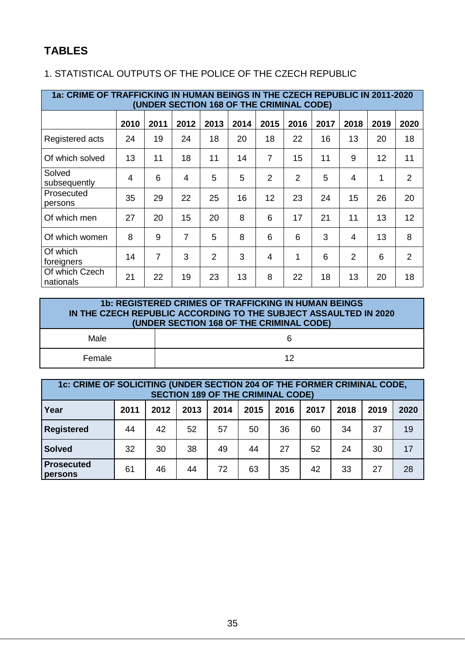## <span id="page-34-0"></span>**TABLES**

## <span id="page-34-1"></span>1. STATISTICAL OUTPUTS OF THE POLICE OF THE CZECH REPUBLIC

| 1a: CRIME OF TRAFFICKING IN HUMAN BEINGS IN THE CZECH REPUBLIC IN 2011-2020<br>(UNDER SECTION 168 OF THE CRIMINAL CODE) |                |                |                |      |      |                |                |      |      |      |                |
|-------------------------------------------------------------------------------------------------------------------------|----------------|----------------|----------------|------|------|----------------|----------------|------|------|------|----------------|
|                                                                                                                         | 2010           | 2011           | 2012           | 2013 | 2014 | 2015           | 2016           | 2017 | 2018 | 2019 | 2020           |
| Registered acts                                                                                                         | 24             | 19             | 24             | 18   | 20   | 18             | 22             | 16   | 13   | 20   | 18             |
| Of which solved                                                                                                         | 13             | 11             | 18             | 11   | 14   | $\overline{7}$ | 15             | 11   | 9    | 12   | 11             |
| Solved<br>subsequently                                                                                                  | $\overline{4}$ | 6              | $\overline{4}$ | 5    | 5    | $\overline{2}$ | $\overline{2}$ | 5    | 4    | 1    | $\overline{2}$ |
| Prosecuted<br>persons                                                                                                   | 35             | 29             | 22             | 25   | 16   | 12             | 23             | 24   | 15   | 26   | 20             |
| Of which men                                                                                                            | 27             | 20             | 15             | 20   | 8    | 6              | 17             | 21   | 11   | 13   | 12             |
| Of which women                                                                                                          | 8              | 9              | $\overline{7}$ | 5    | 8    | 6              | 6              | 3    | 4    | 13   | 8              |
| Of which<br>foreigners                                                                                                  | 14             | $\overline{7}$ | 3              | 2    | 3    | 4              | 1              | 6    | 2    | 6    | $\overline{2}$ |
| Of which Czech<br>nationals                                                                                             | 21             | 22             | 19             | 23   | 13   | 8              | 22             | 18   | 13   | 20   | 18             |

## **1b: REGISTERED CRIMES OF TRAFFICKING IN HUMAN BEINGS IN THE CZECH REPUBLIC ACCORDING TO THE SUBJECT ASSAULTED IN 2020 (UNDER SECTION 168 OF THE CRIMINAL CODE)** Male 6 Female 12

| 1c: CRIME OF SOLICITING (UNDER SECTION 204 OF THE FORMER CRIMINAL CODE,<br><b>SECTION 189 OF THE CRIMINAL CODE)</b> |      |      |      |      |      |      |      |      |      |      |
|---------------------------------------------------------------------------------------------------------------------|------|------|------|------|------|------|------|------|------|------|
| Year                                                                                                                | 2011 | 2012 | 2013 | 2014 | 2015 | 2016 | 2017 | 2018 | 2019 | 2020 |
| <b>Registered</b>                                                                                                   | 44   | 42   | 52   | 57   | 50   | 36   | 60   | 34   | 37   | 19   |
| <b>Solved</b>                                                                                                       | 32   | 30   | 38   | 49   | 44   | 27   | 52   | 24   | 30   | 17   |
| <b>Prosecuted</b><br>persons                                                                                        | 61   | 46   | 44   | 72   | 63   | 35   | 42   | 33   | 27   | 28   |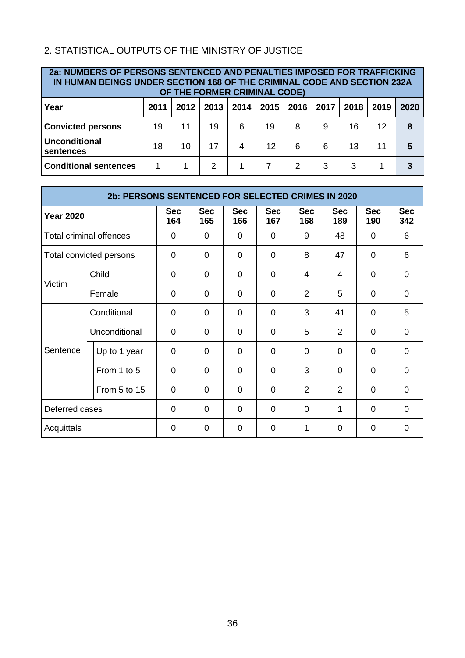## <span id="page-35-0"></span>2. STATISTICAL OUTPUTS OF THE MINISTRY OF JUSTICE

| 2a: NUMBERS OF PERSONS SENTENCED AND PENALTIES IMPOSED FOR TRAFFICKING<br>IN HUMAN BEINGS UNDER SECTION 168 OF THE CRIMINAL CODE AND SECTION 232A<br>OF THE FORMER CRIMINAL CODE) |      |      |               |      |      |      |      |      |      |      |
|-----------------------------------------------------------------------------------------------------------------------------------------------------------------------------------|------|------|---------------|------|------|------|------|------|------|------|
| Year                                                                                                                                                                              | 2011 | 2012 | 2013          | 2014 | 2015 | 2016 | 2017 | 2018 | 2019 | 2020 |
| <b>Convicted persons</b>                                                                                                                                                          | 19   | 11   | 19            | 6    | 19   | 8    | 9    | 16   | 12   | 8    |
| <b>Unconditional</b><br>sentences                                                                                                                                                 | 18   | 10   | 17            | 4    | 12   | 6    | 6    | 13   | 11   | 5    |
| <b>Conditional sentences</b>                                                                                                                                                      | 1    |      | $\mathcal{P}$ |      |      | 2    | 3    | 3    |      |      |

| 2b: PERSONS SENTENCED FOR SELECTED CRIMES IN 2020 |                                |                   |                   |                   |                   |                   |                   |                   |                   |
|---------------------------------------------------|--------------------------------|-------------------|-------------------|-------------------|-------------------|-------------------|-------------------|-------------------|-------------------|
| <b>Year 2020</b>                                  |                                | <b>Sec</b><br>164 | <b>Sec</b><br>165 | <b>Sec</b><br>166 | <b>Sec</b><br>167 | <b>Sec</b><br>168 | <b>Sec</b><br>189 | <b>Sec</b><br>190 | <b>Sec</b><br>342 |
|                                                   | <b>Total criminal offences</b> | $\Omega$          | 0                 | $\Omega$          | $\Omega$          | 9                 | 48                | $\Omega$          | 6                 |
|                                                   | Total convicted persons        | $\Omega$          | 0                 | 0                 | 0                 | 8                 | 47                | $\Omega$          | 6                 |
|                                                   | Child                          | $\Omega$          | $\overline{0}$    | $\Omega$          | $\Omega$          | $\overline{4}$    | 4                 | $\Omega$          | $\mathbf 0$       |
| Victim                                            | Female                         | 0                 | 0                 | 0                 | $\overline{0}$    | $\overline{2}$    | 5                 | $\mathbf 0$       | $\overline{0}$    |
|                                                   | Conditional                    | $\Omega$          | $\mathbf 0$       | $\Omega$          | $\overline{0}$    | 3                 | 41                | $\Omega$          | 5                 |
|                                                   | Unconditional                  | $\Omega$          | 0                 | $\Omega$          | $\Omega$          | 5                 | $\overline{2}$    | 0                 | $\overline{0}$    |
| Sentence                                          | Up to 1 year                   | $\Omega$          | $\Omega$          | $\Omega$          | $\Omega$          | $\Omega$          | $\Omega$          | $\Omega$          | $\mathbf 0$       |
|                                                   | From 1 to 5                    | $\Omega$          | $\Omega$          | $\Omega$          | $\Omega$          | 3                 | $\Omega$          | $\Omega$          | $\mathbf 0$       |
|                                                   | From 5 to 15                   | $\Omega$          | 0                 | $\Omega$          | $\Omega$          | 2                 | $\overline{2}$    | $\Omega$          | $\mathbf 0$       |
| Deferred cases                                    |                                | $\Omega$          | $\Omega$          | $\Omega$          | $\Omega$          | $\Omega$          | 1                 | $\Omega$          | $\Omega$          |
| Acquittals                                        |                                | 0                 | $\overline{0}$    | $\Omega$          | $\overline{0}$    | 1                 | 0                 | $\Omega$          | $\overline{0}$    |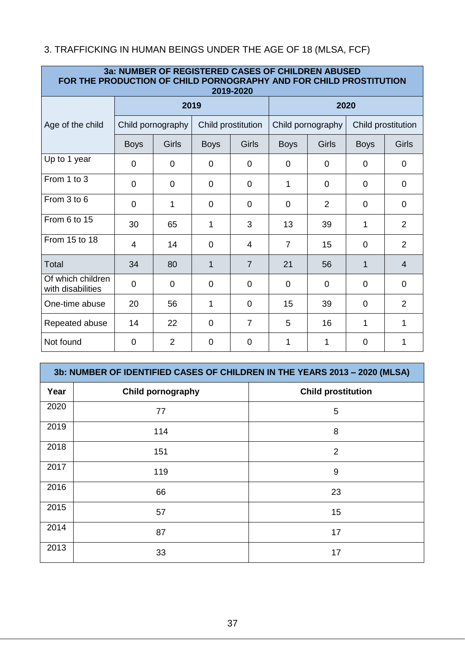## <span id="page-36-0"></span>3. TRAFFICKING IN HUMAN BEINGS UNDER THE AGE OF 18 (MLSA, FCF)

| 3a: NUMBER OF REGISTERED CASES OF CHILDREN ABUSED<br>FOR THE PRODUCTION OF CHILD PORNOGRAPHY AND FOR CHILD PROSTITUTION<br>2019-2020 |                |                   |                    |                |                   |                |                    |                |  |  |
|--------------------------------------------------------------------------------------------------------------------------------------|----------------|-------------------|--------------------|----------------|-------------------|----------------|--------------------|----------------|--|--|
|                                                                                                                                      |                | 2019              |                    |                | 2020              |                |                    |                |  |  |
| Age of the child                                                                                                                     |                | Child pornography | Child prostitution |                | Child pornography |                | Child prostitution |                |  |  |
|                                                                                                                                      | <b>Boys</b>    | Girls             | <b>Boys</b>        | Girls          | <b>Boys</b>       | Girls          | <b>Boys</b>        | Girls          |  |  |
| Up to 1 year                                                                                                                         | 0              | 0                 | 0                  | 0              | 0                 | $\Omega$       | 0                  | 0              |  |  |
| From 1 to 3                                                                                                                          | $\Omega$       | $\overline{0}$    | $\overline{0}$     | $\overline{0}$ | 1                 | $\Omega$       | $\Omega$           | $\overline{0}$ |  |  |
| From 3 to 6                                                                                                                          | $\overline{0}$ | 1                 | $\mathbf 0$        | $\mathbf 0$    | $\overline{0}$    | $\overline{2}$ | $\mathbf 0$        | $\Omega$       |  |  |
| From 6 to 15                                                                                                                         | 30             | 65                | 1                  | 3              | 13                | 39             | 1                  | $\overline{2}$ |  |  |
| From 15 to 18                                                                                                                        | $\overline{4}$ | 14                | $\Omega$           | $\overline{4}$ | $\overline{7}$    | 15             | $\Omega$           | $\overline{2}$ |  |  |
| Total                                                                                                                                | 34             | 80                | 1                  | $\overline{7}$ | 21                | 56             | 1                  | $\overline{4}$ |  |  |
| Of which children<br>with disabilities                                                                                               | 0              | 0                 | 0                  | 0              | 0                 | 0              | 0                  | 0              |  |  |
| One-time abuse                                                                                                                       | 20             | 56                | 1                  | 0              | 15                | 39             | 0                  | 2              |  |  |
| Repeated abuse                                                                                                                       | 14             | 22                | $\Omega$           | $\overline{7}$ | 5                 | 16             | 1                  | 1              |  |  |
| Not found                                                                                                                            | 0              | 2                 | 0                  | 0              | 1                 | 1              | 0                  | 1              |  |  |

|      | 3b: NUMBER OF IDENTIFIED CASES OF CHILDREN IN THE YEARS 2013 - 2020 (MLSA) |                           |  |  |  |  |  |
|------|----------------------------------------------------------------------------|---------------------------|--|--|--|--|--|
| Year | <b>Child pornography</b>                                                   | <b>Child prostitution</b> |  |  |  |  |  |
| 2020 | 77                                                                         | 5                         |  |  |  |  |  |
| 2019 | 114                                                                        | 8                         |  |  |  |  |  |
| 2018 | 151                                                                        | 2                         |  |  |  |  |  |
| 2017 | 119                                                                        | 9                         |  |  |  |  |  |
| 2016 | 66                                                                         | 23                        |  |  |  |  |  |
| 2015 | 57                                                                         | 15                        |  |  |  |  |  |
| 2014 | 87                                                                         | 17                        |  |  |  |  |  |
| 2013 | 33                                                                         | 17                        |  |  |  |  |  |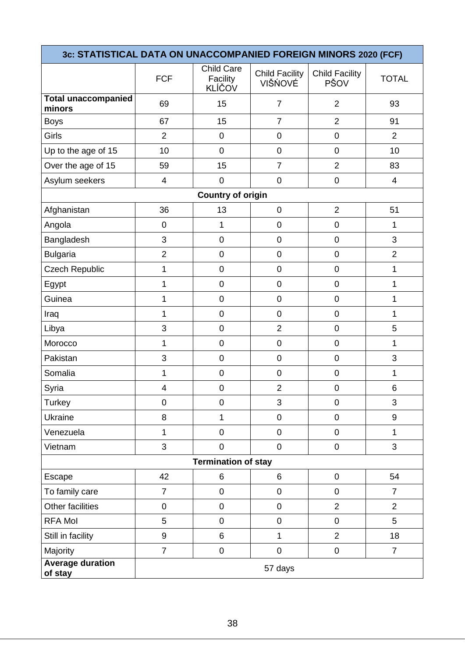| 3c: STATISTICAL DATA ON UNACCOMPANIED FOREIGN MINORS 2020 (FCF) |                         |                                                |                                  |                               |                |  |  |  |
|-----------------------------------------------------------------|-------------------------|------------------------------------------------|----------------------------------|-------------------------------|----------------|--|--|--|
|                                                                 | <b>FCF</b>              | <b>Child Care</b><br>Facility<br><b>KLÍČOV</b> | <b>Child Facility</b><br>VIŠŃOVÉ | <b>Child Facility</b><br>PŠOV | <b>TOTAL</b>   |  |  |  |
| <b>Total unaccompanied</b><br>minors                            | 69                      | 15                                             | $\overline{7}$                   | $\overline{2}$                | 93             |  |  |  |
| <b>Boys</b>                                                     | 67                      | 15                                             | $\overline{7}$                   | $\overline{2}$                | 91             |  |  |  |
| Girls                                                           | $\overline{2}$          | $\mathbf 0$                                    | $\mathbf 0$                      | $\mathbf 0$                   | $\overline{2}$ |  |  |  |
| Up to the age of 15                                             | 10                      | $\overline{0}$                                 | $\mathbf 0$                      | $\mathbf 0$                   | 10             |  |  |  |
| Over the age of 15                                              | 59                      | 15                                             | $\overline{7}$                   | $\overline{2}$                | 83             |  |  |  |
| Asylum seekers                                                  | 4                       | $\mathbf 0$                                    | $\overline{0}$                   | $\boldsymbol{0}$              | $\overline{4}$ |  |  |  |
| <b>Country of origin</b>                                        |                         |                                                |                                  |                               |                |  |  |  |
| Afghanistan                                                     | 36                      | 13                                             | $\pmb{0}$                        | $\overline{2}$                | 51             |  |  |  |
| Angola                                                          | $\mathbf 0$             | $\mathbf{1}$                                   | $\mathbf 0$                      | $\mathbf 0$                   | 1              |  |  |  |
| Bangladesh                                                      | 3                       | 0                                              | $\mathbf 0$                      | $\mathbf 0$                   | 3              |  |  |  |
| <b>Bulgaria</b>                                                 | $\overline{2}$          | 0                                              | $\mathbf 0$                      | $\mathbf 0$                   | $\overline{2}$ |  |  |  |
| <b>Czech Republic</b>                                           | 1                       | $\mathbf 0$                                    | $\mathbf 0$                      | $\mathbf 0$                   | 1              |  |  |  |
| Egypt                                                           | 1                       | 0                                              | $\mathbf 0$                      | $\mathbf 0$                   | 1              |  |  |  |
| Guinea                                                          | 1                       | $\mathbf 0$                                    | $\mathbf 0$                      | $\mathbf 0$                   | 1              |  |  |  |
| Iraq                                                            | 1                       | $\mathbf 0$                                    | $\mathbf 0$                      | $\mathbf 0$                   | 1              |  |  |  |
| Libya                                                           | 3                       | $\overline{0}$                                 | $\overline{2}$                   | 0                             | 5              |  |  |  |
| Morocco                                                         | 1                       | $\mathbf 0$                                    | $\mathbf 0$                      | $\boldsymbol{0}$              | 1              |  |  |  |
| Pakistan                                                        | 3                       | $\overline{0}$                                 | $\mathbf 0$                      | $\mathbf 0$                   | 3              |  |  |  |
| Somalia                                                         | 1                       | $\pmb{0}$                                      | $\mathbf 0$                      | $\boldsymbol{0}$              | 1              |  |  |  |
| Syria                                                           | $\overline{\mathbf{4}}$ | $\mathbf 0$                                    | $\overline{2}$                   | $\mathbf 0$                   | 6              |  |  |  |
| <b>Turkey</b>                                                   | 0                       | $\boldsymbol{0}$                               | 3                                | $\boldsymbol{0}$              | 3              |  |  |  |
| Ukraine                                                         | 8                       | 1                                              | $\pmb{0}$                        | $\mathbf 0$                   | 9              |  |  |  |
| Venezuela                                                       | $\mathbf{1}$            | $\overline{0}$                                 | $\mathbf 0$                      | $\mathbf 0$                   | 1              |  |  |  |
| Vietnam                                                         | 3                       | $\mathbf 0$                                    | $\mathbf 0$                      | $\pmb{0}$                     | 3              |  |  |  |
|                                                                 |                         | <b>Termination of stay</b>                     |                                  |                               |                |  |  |  |
| Escape                                                          | 42                      | 6                                              | 6                                | $\mathbf 0$                   | 54             |  |  |  |
| To family care                                                  | $\overline{7}$          | $\overline{0}$                                 | $\pmb{0}$                        | $\mathbf 0$                   | $\overline{7}$ |  |  |  |
| Other facilities                                                | $\mathsf 0$             | 0                                              | $\pmb{0}$                        | $\overline{2}$                | $\overline{2}$ |  |  |  |
| <b>RFA Mol</b>                                                  | 5                       | $\pmb{0}$                                      | $\pmb{0}$                        | $\mathbf 0$                   | 5              |  |  |  |
| Still in facility                                               | 9                       | 6                                              | 1                                | $\overline{2}$                | 18             |  |  |  |
| Majority                                                        | $\overline{7}$          | $\pmb{0}$                                      | $\pmb{0}$                        | $\pmb{0}$                     | $\overline{7}$ |  |  |  |
| <b>Average duration</b><br>of stay                              |                         |                                                | 57 days                          |                               |                |  |  |  |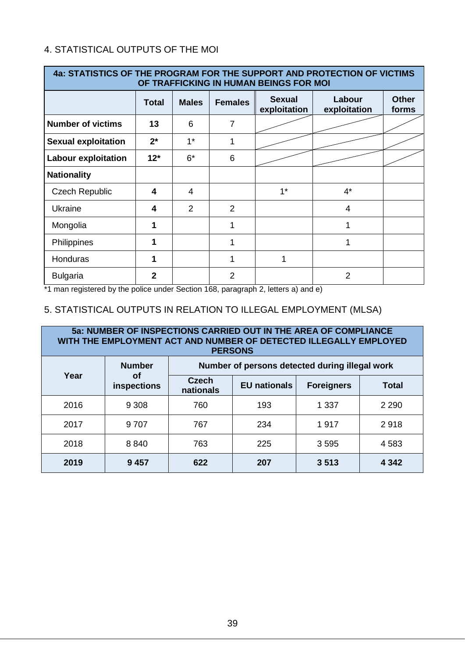### <span id="page-38-0"></span>4. STATISTICAL OUTPUTS OF THE MOI

| 4a: STATISTICS OF THE PROGRAM FOR THE SUPPORT AND PROTECTION OF VICTIMS<br>OF TRAFFICKING IN HUMAN BEINGS FOR MOI |              |                |                |                               |                        |                       |  |  |
|-------------------------------------------------------------------------------------------------------------------|--------------|----------------|----------------|-------------------------------|------------------------|-----------------------|--|--|
|                                                                                                                   | <b>Total</b> | <b>Males</b>   | <b>Females</b> | <b>Sexual</b><br>exploitation | Labour<br>exploitation | <b>Other</b><br>forms |  |  |
| <b>Number of victims</b>                                                                                          | 13           | 6              | $\overline{7}$ |                               |                        |                       |  |  |
| <b>Sexual exploitation</b>                                                                                        | $2^*$        | $1^*$          | 1              |                               |                        |                       |  |  |
| <b>Labour exploitation</b>                                                                                        | $12*$        | $6*$           | 6              |                               |                        |                       |  |  |
| <b>Nationality</b>                                                                                                |              |                |                |                               |                        |                       |  |  |
| <b>Czech Republic</b>                                                                                             | 4            | 4              |                | $1^*$                         | $4^*$                  |                       |  |  |
| Ukraine                                                                                                           | 4            | $\overline{2}$ | $\overline{2}$ |                               | $\overline{4}$         |                       |  |  |
| Mongolia                                                                                                          | 1            |                | 1              |                               | $\mathbf 1$            |                       |  |  |
| Philippines                                                                                                       | 1            |                | 1              |                               | 1                      |                       |  |  |
| Honduras                                                                                                          | 1            |                |                | 1                             |                        |                       |  |  |
| <b>Bulgaria</b>                                                                                                   | $\mathbf{2}$ |                | 2              |                               | $\overline{2}$         |                       |  |  |

\*1 man registered by the police under Section 168, paragraph 2, letters a) and e)

## <span id="page-38-1"></span>5. STATISTICAL OUTPUTS IN RELATION TO ILLEGAL EMPLOYMENT (MLSA)

| 5a: NUMBER OF INSPECTIONS CARRIED OUT IN THE AREA OF COMPLIANCE<br>WITH THE EMPLOYMENT ACT AND NUMBER OF DETECTED ILLEGALLY EMPLOYED<br><b>PERSONS</b> |                                                                 |                           |                     |                   |              |  |  |
|--------------------------------------------------------------------------------------------------------------------------------------------------------|-----------------------------------------------------------------|---------------------------|---------------------|-------------------|--------------|--|--|
|                                                                                                                                                        | Number of persons detected during illegal work<br><b>Number</b> |                           |                     |                   |              |  |  |
| Year                                                                                                                                                   | Οf<br>inspections                                               | <b>Czech</b><br>nationals | <b>EU</b> nationals | <b>Foreigners</b> | <b>Total</b> |  |  |
| 2016                                                                                                                                                   | 9 3 0 8                                                         | 760                       | 193                 | 1 3 3 7           | 2 2 9 0      |  |  |
| 2017                                                                                                                                                   | 9 7 0 7                                                         | 767                       | 234                 | 1917              | 2918         |  |  |
| 2018                                                                                                                                                   | 8840                                                            | 763                       | 225                 | 3595              | 4 5 8 3      |  |  |
| 2019                                                                                                                                                   | 9457                                                            | 622                       | 207                 | 3513              | 4 3 4 2      |  |  |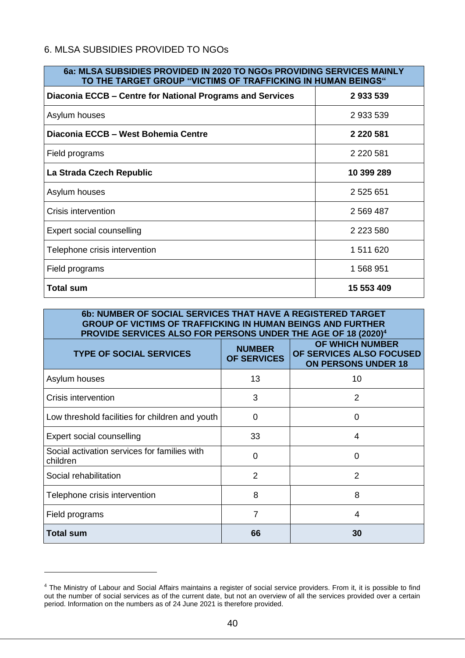#### <span id="page-39-0"></span>6. MLSA SUBSIDIES PROVIDED TO NGOs

| 6a: MLSA SUBSIDIES PROVIDED IN 2020 TO NGOS PROVIDING SERVICES MAINLY<br>TO THE TARGET GROUP "VICTIMS OF TRAFFICKING IN HUMAN BEINGS" |               |  |  |  |  |  |
|---------------------------------------------------------------------------------------------------------------------------------------|---------------|--|--|--|--|--|
| Diaconia ECCB – Centre for National Programs and Services                                                                             | 2933539       |  |  |  |  |  |
| Asylum houses                                                                                                                         | 2 933 539     |  |  |  |  |  |
| Diaconia ECCB - West Bohemia Centre                                                                                                   | 2 2 2 5 8 1   |  |  |  |  |  |
| Field programs                                                                                                                        | 2 2 2 5 8 1   |  |  |  |  |  |
| La Strada Czech Republic                                                                                                              | 10 399 289    |  |  |  |  |  |
| Asylum houses                                                                                                                         | 2 525 651     |  |  |  |  |  |
| Crisis intervention                                                                                                                   | 2 5 69 4 8 7  |  |  |  |  |  |
| Expert social counselling                                                                                                             | 2 2 2 3 5 8 0 |  |  |  |  |  |
| Telephone crisis intervention                                                                                                         | 1 511 620     |  |  |  |  |  |
| Field programs                                                                                                                        | 1 568 951     |  |  |  |  |  |
| Total sum                                                                                                                             | 15 553 409    |  |  |  |  |  |

| 6b: NUMBER OF SOCIAL SERVICES THAT HAVE A REGISTERED TARGET<br><b>GROUP OF VICTIMS OF TRAFFICKING IN HUMAN BEINGS AND FURTHER</b><br>PROVIDE SERVICES ALSO FOR PERSONS UNDER THE AGE OF 18 (2020) <sup>4</sup> |                              |                                                                                  |  |  |  |  |  |
|----------------------------------------------------------------------------------------------------------------------------------------------------------------------------------------------------------------|------------------------------|----------------------------------------------------------------------------------|--|--|--|--|--|
| <b>TYPE OF SOCIAL SERVICES</b>                                                                                                                                                                                 | <b>NUMBER</b><br>OF SERVICES | <b>OF WHICH NUMBER</b><br>OF SERVICES ALSO FOCUSED<br><b>ON PERSONS UNDER 18</b> |  |  |  |  |  |
| Asylum houses                                                                                                                                                                                                  | 13                           | 10                                                                               |  |  |  |  |  |
| Crisis intervention                                                                                                                                                                                            | 3                            | 2                                                                                |  |  |  |  |  |
| Low threshold facilities for children and youth                                                                                                                                                                | $\Omega$                     | $\Omega$                                                                         |  |  |  |  |  |
| Expert social counselling                                                                                                                                                                                      | 33                           | 4                                                                                |  |  |  |  |  |
| Social activation services for families with<br>children                                                                                                                                                       | $\Omega$                     | 0                                                                                |  |  |  |  |  |
| Social rehabilitation                                                                                                                                                                                          | 2                            | 2                                                                                |  |  |  |  |  |
| Telephone crisis intervention                                                                                                                                                                                  | 8                            | 8                                                                                |  |  |  |  |  |
| Field programs                                                                                                                                                                                                 | 7                            | 4                                                                                |  |  |  |  |  |
| <b>Total sum</b>                                                                                                                                                                                               | 66                           | 30                                                                               |  |  |  |  |  |

1

<sup>&</sup>lt;sup>4</sup> The Ministry of Labour and Social Affairs maintains a register of social service providers. From it, it is possible to find out the number of social services as of the current date, but not an overview of all the services provided over a certain period. Information on the numbers as of 24 June 2021 is therefore provided.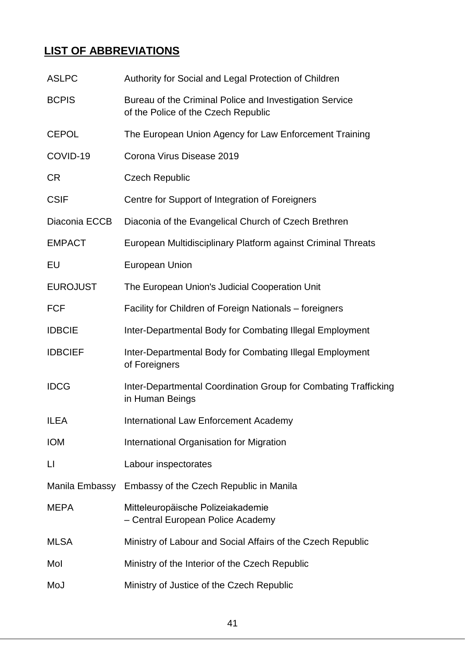# **LIST OF ABBREVIATIONS**

| <b>ASLPC</b>      | Authority for Social and Legal Protection of Children                                          |  |
|-------------------|------------------------------------------------------------------------------------------------|--|
| <b>BCPIS</b>      | Bureau of the Criminal Police and Investigation Service<br>of the Police of the Czech Republic |  |
| <b>CEPOL</b>      | The European Union Agency for Law Enforcement Training                                         |  |
| COVID-19          | Corona Virus Disease 2019                                                                      |  |
| <b>CR</b>         | <b>Czech Republic</b>                                                                          |  |
| <b>CSIF</b>       | Centre for Support of Integration of Foreigners                                                |  |
| Diaconia ECCB     | Diaconia of the Evangelical Church of Czech Brethren                                           |  |
| <b>EMPACT</b>     | European Multidisciplinary Platform against Criminal Threats                                   |  |
| EU                | <b>European Union</b>                                                                          |  |
| <b>EUROJUST</b>   | The European Union's Judicial Cooperation Unit                                                 |  |
| <b>FCF</b>        | Facility for Children of Foreign Nationals – foreigners                                        |  |
| <b>IDBCIE</b>     | Inter-Departmental Body for Combating Illegal Employment                                       |  |
| <b>IDBCIEF</b>    | Inter-Departmental Body for Combating Illegal Employment<br>of Foreigners                      |  |
| <b>IDCG</b>       | Inter-Departmental Coordination Group for Combating Trafficking<br>in Human Beings             |  |
| <b>ILEA</b>       | International Law Enforcement Academy                                                          |  |
| <b>IOM</b>        | International Organisation for Migration                                                       |  |
| $\lfloor \rfloor$ | Labour inspectorates                                                                           |  |
| Manila Embassy    | Embassy of the Czech Republic in Manila                                                        |  |
| <b>MEPA</b>       | Mitteleuropäische Polizeiakademie<br>- Central European Police Academy                         |  |
| <b>MLSA</b>       | Ministry of Labour and Social Affairs of the Czech Republic                                    |  |
| Mol               | Ministry of the Interior of the Czech Republic                                                 |  |
| MoJ               | Ministry of Justice of the Czech Republic                                                      |  |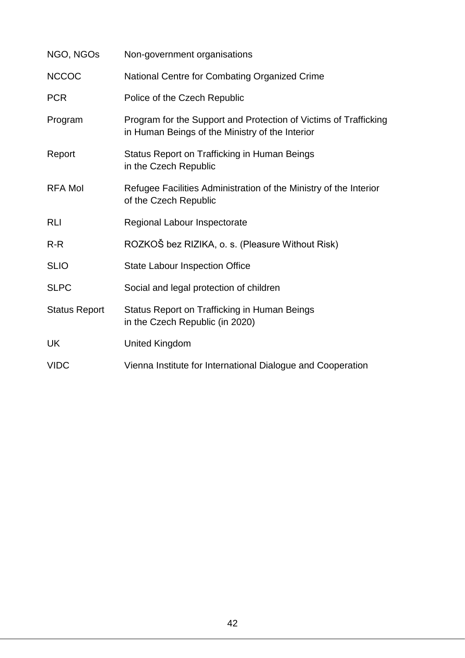| NGO, NGOs            | Non-government organisations                                                                                        |  |
|----------------------|---------------------------------------------------------------------------------------------------------------------|--|
| <b>NCCOC</b>         | National Centre for Combating Organized Crime                                                                       |  |
| <b>PCR</b>           | Police of the Czech Republic                                                                                        |  |
| Program              | Program for the Support and Protection of Victims of Trafficking<br>in Human Beings of the Ministry of the Interior |  |
| Report               | Status Report on Trafficking in Human Beings<br>in the Czech Republic                                               |  |
| <b>RFA Mol</b>       | Refugee Facilities Administration of the Ministry of the Interior<br>of the Czech Republic                          |  |
| <b>RLI</b>           | Regional Labour Inspectorate                                                                                        |  |
| $R-R$                | ROZKOŠ bez RIZIKA, o. s. (Pleasure Without Risk)                                                                    |  |
| <b>SLIO</b>          | <b>State Labour Inspection Office</b>                                                                               |  |
| <b>SLPC</b>          | Social and legal protection of children                                                                             |  |
| <b>Status Report</b> | Status Report on Trafficking in Human Beings<br>in the Czech Republic (in 2020)                                     |  |
| UK                   | <b>United Kingdom</b>                                                                                               |  |
| <b>VIDC</b>          | Vienna Institute for International Dialogue and Cooperation                                                         |  |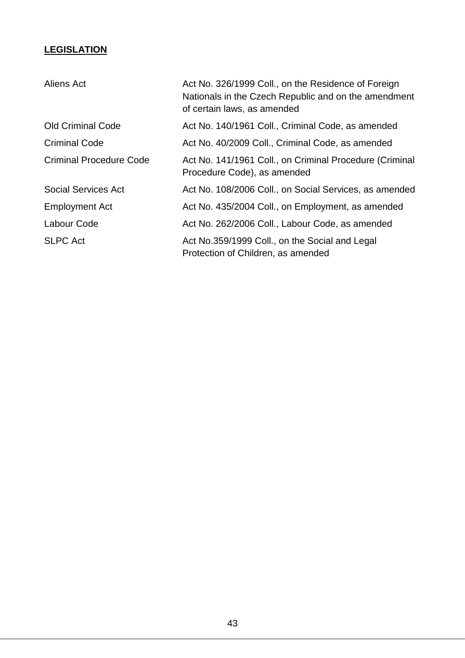## **LEGISLATION**

| Aliens Act                     | Act No. 326/1999 Coll., on the Residence of Foreign<br>Nationals in the Czech Republic and on the amendment<br>of certain laws, as amended |
|--------------------------------|--------------------------------------------------------------------------------------------------------------------------------------------|
| <b>Old Criminal Code</b>       | Act No. 140/1961 Coll., Criminal Code, as amended                                                                                          |
| <b>Criminal Code</b>           | Act No. 40/2009 Coll., Criminal Code, as amended                                                                                           |
| <b>Criminal Procedure Code</b> | Act No. 141/1961 Coll., on Criminal Procedure (Criminal<br>Procedure Code), as amended                                                     |
| <b>Social Services Act</b>     | Act No. 108/2006 Coll., on Social Services, as amended                                                                                     |
| <b>Employment Act</b>          | Act No. 435/2004 Coll., on Employment, as amended                                                                                          |
| Labour Code                    | Act No. 262/2006 Coll., Labour Code, as amended                                                                                            |
| <b>SLPC Act</b>                | Act No.359/1999 Coll., on the Social and Legal<br>Protection of Children, as amended                                                       |